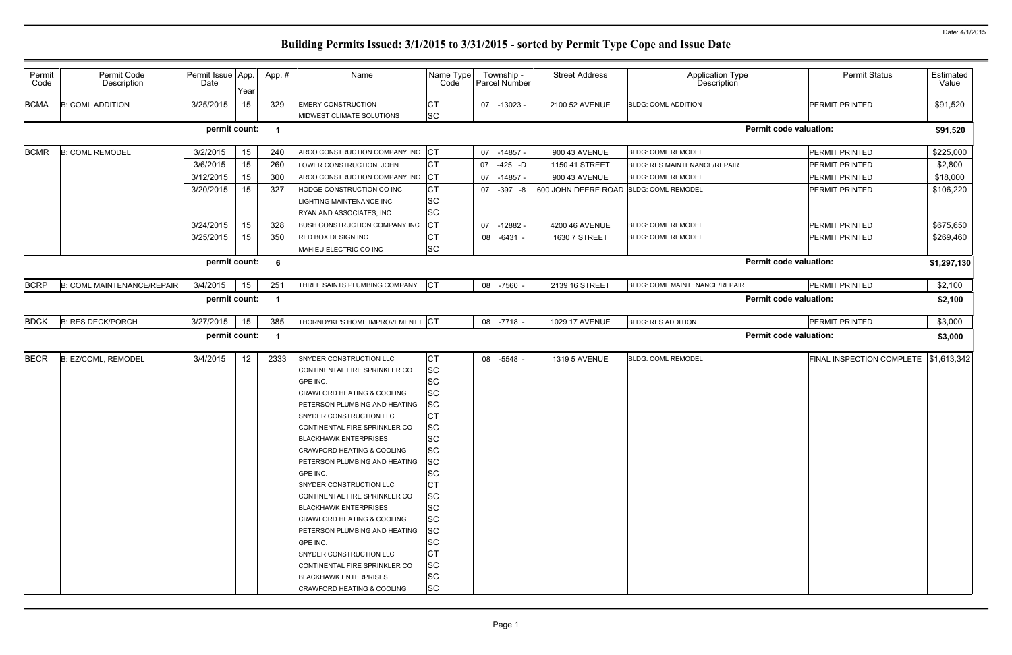| Permit<br>Code | Permit Code<br>Description | Permit Issue App<br>Date | Year | App.# | Name                                                                                                                                                                                                                                                                                                                                                                                                                                                                                                                                                                                                                                                              | Name Type<br>Code                                                                                                                                                                                                                                                  | Township -<br>Parcel Number | <b>Street Address</b>                  | <b>Application Type</b><br>Description | <b>Permit Status</b>                    | Estimated<br>Value |
|----------------|----------------------------|--------------------------|------|-------|-------------------------------------------------------------------------------------------------------------------------------------------------------------------------------------------------------------------------------------------------------------------------------------------------------------------------------------------------------------------------------------------------------------------------------------------------------------------------------------------------------------------------------------------------------------------------------------------------------------------------------------------------------------------|--------------------------------------------------------------------------------------------------------------------------------------------------------------------------------------------------------------------------------------------------------------------|-----------------------------|----------------------------------------|----------------------------------------|-----------------------------------------|--------------------|
| <b>BCMA</b>    | <b>B: COML ADDITION</b>    | 3/25/2015                | 15   | 329   | <b>EMERY CONSTRUCTION</b><br>MIDWEST CLIMATE SOLUTIONS                                                                                                                                                                                                                                                                                                                                                                                                                                                                                                                                                                                                            | Iст<br><b>SC</b>                                                                                                                                                                                                                                                   | 07 -13023 -                 | 2100 52 AVENUE                         | <b>BLDG: COML ADDITION</b>             | PERMIT PRINTED                          | \$91,520           |
|                |                            | permit count:            |      |       |                                                                                                                                                                                                                                                                                                                                                                                                                                                                                                                                                                                                                                                                   |                                                                                                                                                                                                                                                                    |                             |                                        |                                        | <b>Permit code valuation:</b>           | \$91,520           |
| <b>BCMR</b>    | <b>B: COML REMODEL</b>     | 3/2/2015                 | 15   | 240   | ARCO CONSTRUCTION COMPANY INC                                                                                                                                                                                                                                                                                                                                                                                                                                                                                                                                                                                                                                     | <b>CT</b>                                                                                                                                                                                                                                                          | 07 -14857 -                 | 900 43 AVENUE                          | <b>BLDG: COML REMODEL</b>              | PERMIT PRINTED                          | \$225,000          |
|                |                            | 3/6/2015                 | 15   | 260   | LOWER CONSTRUCTION, JOHN                                                                                                                                                                                                                                                                                                                                                                                                                                                                                                                                                                                                                                          | <b>CT</b>                                                                                                                                                                                                                                                          | $-425 - D$<br>07            | 1150 41 STREET                         | <b>BLDG: RES MAINTENANCE/REPAIR</b>    | PERMIT PRINTED                          | \$2,800            |
|                |                            | 3/12/2015                | 15   | 300   | ARCO CONSTRUCTION COMPANY INC                                                                                                                                                                                                                                                                                                                                                                                                                                                                                                                                                                                                                                     | <b>CT</b>                                                                                                                                                                                                                                                          | -14857 -<br>07              | 900 43 AVENUE                          | <b>BLDG: COML REMODEL</b>              | PERMIT PRINTED                          | \$18,000           |
|                |                            | 3/20/2015                | 15   | 327   | HODGE CONSTRUCTION CO INC<br><b>IGHTING MAINTENANCE INC</b><br>RYAN AND ASSOCIATES, INC                                                                                                                                                                                                                                                                                                                                                                                                                                                                                                                                                                           | <b>CT</b><br><b>SC</b><br><b>SC</b>                                                                                                                                                                                                                                | $-397 - 8$<br>07            | 600 JOHN DEERE ROAD BLDG: COML REMODEL |                                        | PERMIT PRINTED                          | \$106,220          |
|                |                            | 3/24/2015                | 15   | 328   | <b>BUSH CONSTRUCTION COMPANY INC.</b>                                                                                                                                                                                                                                                                                                                                                                                                                                                                                                                                                                                                                             | <b>CT</b>                                                                                                                                                                                                                                                          | $-12882$<br>07              | 4200 46 AVENUE                         | <b>BLDG: COML REMODEL</b>              | PERMIT PRINTED                          | \$675,650          |
|                |                            | 3/25/2015                | 15   | 350   | RED BOX DESIGN INC<br>MAHIEU ELECTRIC CO INC                                                                                                                                                                                                                                                                                                                                                                                                                                                                                                                                                                                                                      | <b>CT</b><br><b>SC</b>                                                                                                                                                                                                                                             | $-6431 -$<br>08             | 1630 7 STREET                          | <b>BLDG: COML REMODEL</b>              | PERMIT PRINTED                          | \$269,460          |
|                |                            | permit count:            |      | 6     |                                                                                                                                                                                                                                                                                                                                                                                                                                                                                                                                                                                                                                                                   |                                                                                                                                                                                                                                                                    |                             |                                        |                                        | <b>Permit code valuation:</b>           | \$1,297,130        |
| <b>BCRP</b>    | B: COML MAINTENANCE/REPAIR | 3/4/2015                 | 15   | 251   | THREE SAINTS PLUMBING COMPANY                                                                                                                                                                                                                                                                                                                                                                                                                                                                                                                                                                                                                                     | <b>CT</b>                                                                                                                                                                                                                                                          | 08 -7560 -                  | 2139 16 STREET                         | BLDG: COML MAINTENANCE/REPAIR          | PERMIT PRINTED                          | \$2,100            |
|                |                            | permit count:            |      |       |                                                                                                                                                                                                                                                                                                                                                                                                                                                                                                                                                                                                                                                                   |                                                                                                                                                                                                                                                                    |                             |                                        |                                        | <b>Permit code valuation:</b>           | \$2,100            |
| <b>BDCK</b>    | <b>B: RES DECK/PORCH</b>   | 3/27/2015                | 15   | 385   | THORNDYKE'S HOME IMPROVEMENT I                                                                                                                                                                                                                                                                                                                                                                                                                                                                                                                                                                                                                                    | <b>ICT</b>                                                                                                                                                                                                                                                         | 08 -7718 -                  | <b>1029 17 AVENUE</b>                  | <b>BLDG: RES ADDITION</b>              | PERMIT PRINTED                          | \$3,000            |
|                |                            | permit count:            |      |       |                                                                                                                                                                                                                                                                                                                                                                                                                                                                                                                                                                                                                                                                   |                                                                                                                                                                                                                                                                    |                             |                                        |                                        | <b>Permit code valuation:</b>           | \$3,000            |
| <b>BECR</b>    | B: EZ/COML, REMODEL        | 3/4/2015                 | 12   | 2333  | SNYDER CONSTRUCTION LLC<br>CONTINENTAL FIRE SPRINKLER CO<br>GPE INC.<br>CRAWFORD HEATING & COOLING<br>PETERSON PLUMBING AND HEATING<br>SNYDER CONSTRUCTION LLC<br>CONTINENTAL FIRE SPRINKLER CO<br><b>BLACKHAWK ENTERPRISES</b><br><b>CRAWFORD HEATING &amp; COOLING</b><br>PETERSON PLUMBING AND HEATING<br><b>GPE INC.</b><br><b>SNYDER CONSTRUCTION LLC</b><br>CONTINENTAL FIRE SPRINKLER CO<br><b>BLACKHAWK ENTERPRISES</b><br><b>CRAWFORD HEATING &amp; COOLING</b><br>PETERSON PLUMBING AND HEATING<br>GPE INC.<br><b>SNYDER CONSTRUCTION LLC</b><br>CONTINENTAL FIRE SPRINKLER CO<br><b>BLACKHAWK ENTERPRISES</b><br><b>CRAWFORD HEATING &amp; COOLING</b> | <b>CT</b><br><b>SC</b><br><b>SC</b><br><b>SC</b><br><b>SC</b><br>IСТ<br><b>SC</b><br><b>ISC</b><br><b>SC</b><br><b>SC</b><br><b>SC</b><br>Iст<br><b>SC</b><br><b>SC</b><br><b>SC</b><br><b>SC</b><br><b>SC</b><br><b>CT</b><br><b>SC</b><br><b>SC</b><br><b>SC</b> | 08 -5548 -                  | 1319 5 AVENUE                          | <b>BLDG: COML REMODEL</b>              | FINAL INSPECTION COMPLETE   \$1,613,342 |                    |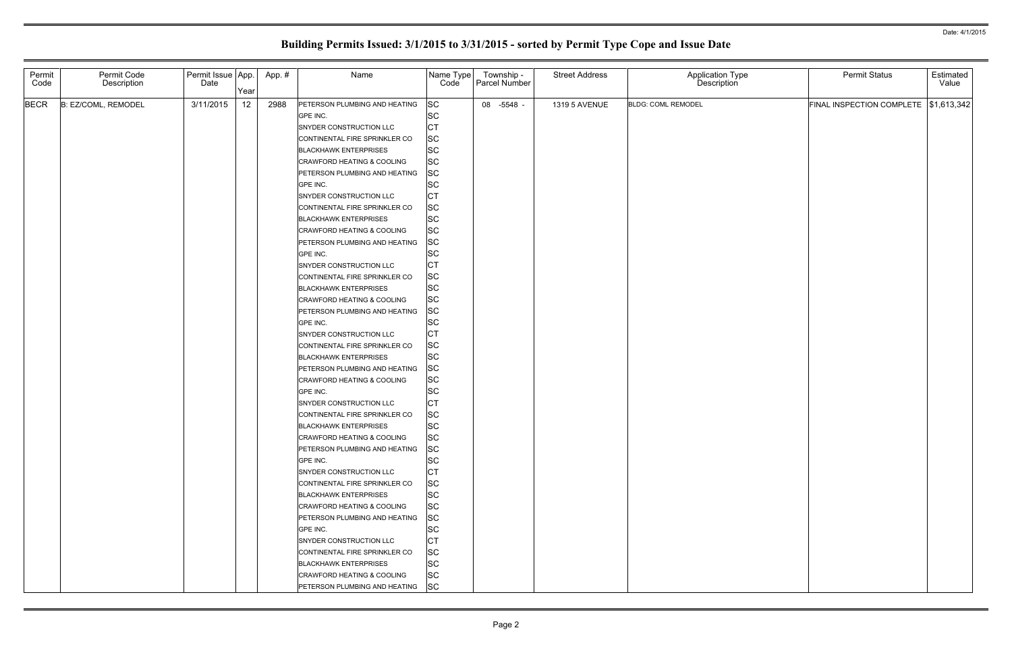| Permit<br>Code | Permit Code<br>Description | Permit Issue App.<br>Date | Year | App. # | Name                                                                                                                                                                                                                                                                                                                                                                                                                                                                                                                                                                                                                                                                                                                                                                                                                                                                                                                                                     | Name Type<br>Code                                                                                                                                                                                                                                                                                                                                                                                                            | Township -<br>Parcel Number | <b>Street Address</b> | Application Type<br>Description | <b>Permit Status</b>                    | Estimated<br>Value |
|----------------|----------------------------|---------------------------|------|--------|----------------------------------------------------------------------------------------------------------------------------------------------------------------------------------------------------------------------------------------------------------------------------------------------------------------------------------------------------------------------------------------------------------------------------------------------------------------------------------------------------------------------------------------------------------------------------------------------------------------------------------------------------------------------------------------------------------------------------------------------------------------------------------------------------------------------------------------------------------------------------------------------------------------------------------------------------------|------------------------------------------------------------------------------------------------------------------------------------------------------------------------------------------------------------------------------------------------------------------------------------------------------------------------------------------------------------------------------------------------------------------------------|-----------------------------|-----------------------|---------------------------------|-----------------------------------------|--------------------|
| <b>BECR</b>    | B: EZ/COML, REMODEL        | 3/11/2015                 | 12   | 2988   | PETERSON PLUMBING AND HEATING<br>GPE INC.<br>SNYDER CONSTRUCTION LLC<br>CONTINENTAL FIRE SPRINKLER CO<br><b>BLACKHAWK ENTERPRISES</b><br><b>CRAWFORD HEATING &amp; COOLING</b><br>PETERSON PLUMBING AND HEATING<br>GPE INC.<br>SNYDER CONSTRUCTION LLC<br>CONTINENTAL FIRE SPRINKLER CO<br><b>BLACKHAWK ENTERPRISES</b><br><b>CRAWFORD HEATING &amp; COOLING</b><br>PETERSON PLUMBING AND HEATING<br>GPE INC.<br>SNYDER CONSTRUCTION LLC<br>CONTINENTAL FIRE SPRINKLER CO<br><b>BLACKHAWK ENTERPRISES</b><br><b>CRAWFORD HEATING &amp; COOLING</b><br>PETERSON PLUMBING AND HEATING<br>GPE INC.<br>SNYDER CONSTRUCTION LLC<br>CONTINENTAL FIRE SPRINKLER CO<br><b>BLACKHAWK ENTERPRISES</b><br>PETERSON PLUMBING AND HEATING<br><b>CRAWFORD HEATING &amp; COOLING</b><br>GPE INC.<br>SNYDER CONSTRUCTION LLC<br>CONTINENTAL FIRE SPRINKLER CO<br><b>BLACKHAWK ENTERPRISES</b><br>CRAWFORD HEATING & COOLING<br>PETERSON PLUMBING AND HEATING<br>GPE INC. | <b>SC</b><br><b>SC</b><br><b>CT</b><br><b>SC</b><br><b>SC</b><br><b>SC</b><br><b>SC</b><br><b>SC</b><br><b>CT</b><br><b>SC</b><br><b>SC</b><br><b>SC</b><br><b>SC</b><br><b>SC</b><br><b>CT</b><br><b>SC</b><br><b>SC</b><br><b>SC</b><br><b>SC</b><br><b>SC</b><br><b>CT</b><br><b>SC</b><br><b>SC</b><br><b>SC</b><br><b>SC</b><br><b>SC</b><br><b>CT</b><br><b>SC</b><br><b>SC</b><br><b>SC</b><br><b>SC</b><br><b>SC</b> | 08 -5548 -                  | 1319 5 AVENUE         | <b>BLDG: COML REMODEL</b>       | FINAL INSPECTION COMPLETE   \$1,613,342 |                    |
|                |                            |                           |      |        | SNYDER CONSTRUCTION LLC<br>CONTINENTAL FIRE SPRINKLER CO<br><b>BLACKHAWK ENTERPRISES</b><br><b>CRAWFORD HEATING &amp; COOLING</b><br>PETERSON PLUMBING AND HEATING<br>GPE INC.<br>SNYDER CONSTRUCTION LLC<br>CONTINENTAL FIRE SPRINKLER CO<br><b>BLACKHAWK ENTERPRISES</b><br>CRAWFORD HEATING & COOLING<br>PETERSON PLUMBING AND HEATING                                                                                                                                                                                                                                                                                                                                                                                                                                                                                                                                                                                                                | <b>CT</b><br><b>SC</b><br><b>SC</b><br><b>SC</b><br><b>SC</b><br><b>SC</b><br><b>CT</b><br><b>SC</b><br><b>SC</b><br><b>SC</b><br><b>SC</b>                                                                                                                                                                                                                                                                                  |                             |                       |                                 |                                         |                    |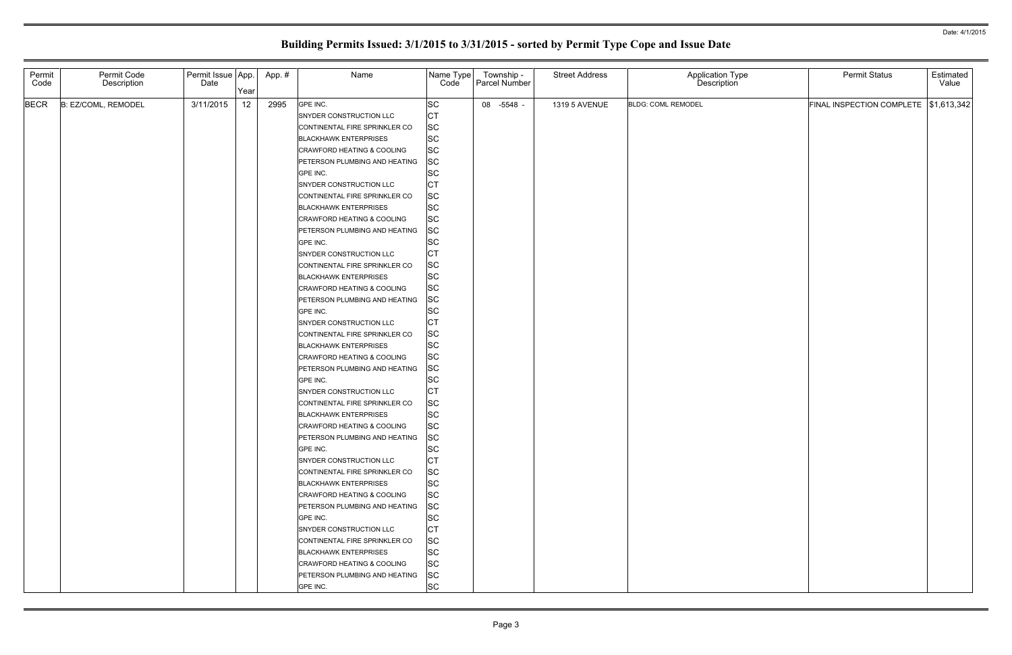| Permit<br>Code | Permit Code<br>Description | Permit Issue App.<br>Date | Year | App. # | Name                                                                                                                                                                                                                                                                                                                                                                                                                                                                                                                                                                                                                                                                        | Name Type<br>Code                                                                                                                                                                                                                                                                          | Township -<br>Parcel Number | <b>Street Address</b> | Application Type<br>Description | <b>Permit Status</b>                    | Estimated<br>Value |
|----------------|----------------------------|---------------------------|------|--------|-----------------------------------------------------------------------------------------------------------------------------------------------------------------------------------------------------------------------------------------------------------------------------------------------------------------------------------------------------------------------------------------------------------------------------------------------------------------------------------------------------------------------------------------------------------------------------------------------------------------------------------------------------------------------------|--------------------------------------------------------------------------------------------------------------------------------------------------------------------------------------------------------------------------------------------------------------------------------------------|-----------------------------|-----------------------|---------------------------------|-----------------------------------------|--------------------|
| <b>BECR</b>    | B: EZ/COML, REMODEL        | 3/11/2015                 | 12   | 2995   | GPE INC.<br>SNYDER CONSTRUCTION LLC<br>CONTINENTAL FIRE SPRINKLER CO<br><b>BLACKHAWK ENTERPRISES</b><br>CRAWFORD HEATING & COOLING<br>PETERSON PLUMBING AND HEATING<br>GPE INC.<br>SNYDER CONSTRUCTION LLC<br>CONTINENTAL FIRE SPRINKLER CO<br><b>BLACKHAWK ENTERPRISES</b><br>CRAWFORD HEATING & COOLING<br>PETERSON PLUMBING AND HEATING<br>GPE INC.<br>SNYDER CONSTRUCTION LLC<br>CONTINENTAL FIRE SPRINKLER CO<br><b>BLACKHAWK ENTERPRISES</b><br><b>CRAWFORD HEATING &amp; COOLING</b><br>PETERSON PLUMBING AND HEATING<br>GPE INC.<br>SNYDER CONSTRUCTION LLC<br>CONTINENTAL FIRE SPRINKLER CO                                                                        | <b>SC</b><br><b>CT</b><br><b>SC</b><br><b>SC</b><br><b>SC</b><br><b>SC</b><br><b>SC</b><br><b>CT</b><br><b>SC</b><br><b>SC</b><br><b>SC</b><br><b>SC</b><br><b>SC</b><br><b>CT</b><br><b>SC</b><br><b>SC</b><br><b>SC</b><br><b>SC</b><br><b>SC</b><br>Iст<br><b>SC</b>                    | 08 -5548 -                  | 1319 5 AVENUE         | <b>BLDG: COML REMODEL</b>       | FINAL INSPECTION COMPLETE   \$1,613,342 |                    |
|                |                            |                           |      |        | <b>BLACKHAWK ENTERPRISES</b><br><b>CRAWFORD HEATING &amp; COOLING</b><br>PETERSON PLUMBING AND HEATING<br>GPE INC.<br>SNYDER CONSTRUCTION LLC<br>CONTINENTAL FIRE SPRINKLER CO<br><b>BLACKHAWK ENTERPRISES</b><br><b>CRAWFORD HEATING &amp; COOLING</b><br>PETERSON PLUMBING AND HEATING<br>GPE INC.<br><b>SNYDER CONSTRUCTION LLC</b><br>CONTINENTAL FIRE SPRINKLER CO<br><b>BLACKHAWK ENTERPRISES</b><br>CRAWFORD HEATING & COOLING<br>PETERSON PLUMBING AND HEATING<br>GPE INC.<br><b>SNYDER CONSTRUCTION LLC</b><br>CONTINENTAL FIRE SPRINKLER CO<br><b>BLACKHAWK ENTERPRISES</b><br><b>CRAWFORD HEATING &amp; COOLING</b><br>PETERSON PLUMBING AND HEATING<br>GPE INC. | <b>SC</b><br><b>SC</b><br><b>SC</b><br><b>SC</b><br><b>CT</b><br><b>SC</b><br><b>SC</b><br><b>SC</b><br><b>SC</b><br><b>SC</b><br><b>CT</b><br><b>SC</b><br><b>SC</b><br><b>SC</b><br><b>SC</b><br><b>SC</b><br><b>CT</b><br><b>SC</b><br><b>SC</b><br><b>SC</b><br><b>SC</b><br><b>SC</b> |                             |                       |                                 |                                         |                    |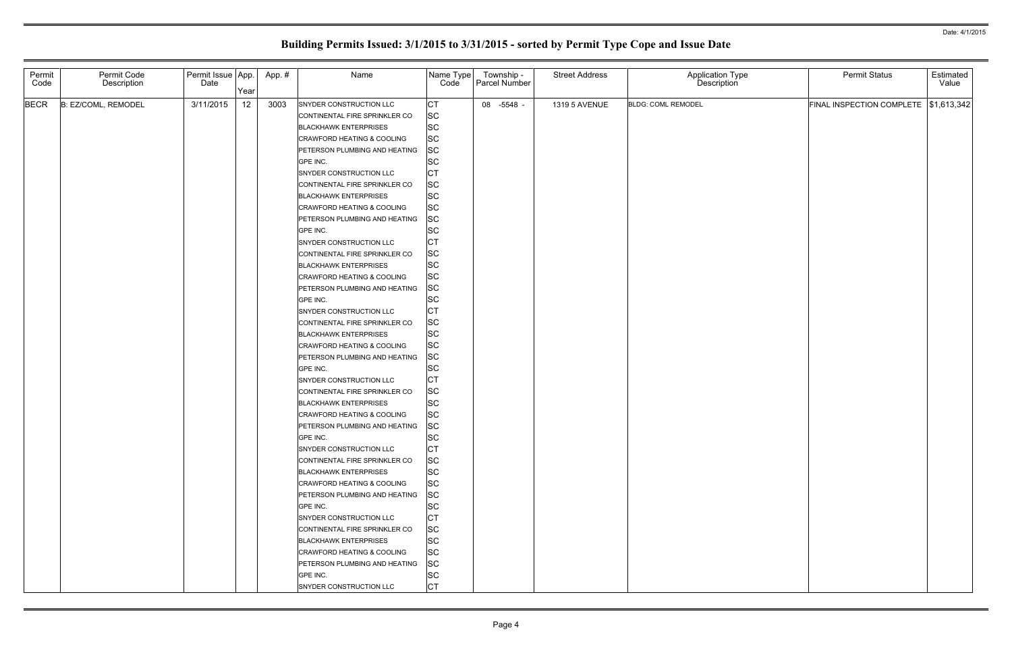| Permit<br>Code | Permit Code<br>Description | Permit Issue App.<br>Date | Year | App. # | Name                                                                                                                                                                                                                                                                                                                                                                                                                                                                                                                                                                                                                                                                                    | Name Type<br>Code                                                                                                                                                                                                                                                                    | Township -<br>Parcel Number | <b>Street Address</b> | Application Type<br>Description | <b>Permit Status</b>                    | Estimated<br>Value |
|----------------|----------------------------|---------------------------|------|--------|-----------------------------------------------------------------------------------------------------------------------------------------------------------------------------------------------------------------------------------------------------------------------------------------------------------------------------------------------------------------------------------------------------------------------------------------------------------------------------------------------------------------------------------------------------------------------------------------------------------------------------------------------------------------------------------------|--------------------------------------------------------------------------------------------------------------------------------------------------------------------------------------------------------------------------------------------------------------------------------------|-----------------------------|-----------------------|---------------------------------|-----------------------------------------|--------------------|
| <b>BECR</b>    | B: EZ/COML, REMODEL        | 3/11/2015                 | 12   | 3003   | SNYDER CONSTRUCTION LLC<br>CONTINENTAL FIRE SPRINKLER CO<br><b>BLACKHAWK ENTERPRISES</b><br><b>CRAWFORD HEATING &amp; COOLING</b><br>PETERSON PLUMBING AND HEATING<br>GPE INC.<br>SNYDER CONSTRUCTION LLC<br>CONTINENTAL FIRE SPRINKLER CO<br><b>BLACKHAWK ENTERPRISES</b><br><b>CRAWFORD HEATING &amp; COOLING</b><br>PETERSON PLUMBING AND HEATING<br>GPE INC.<br>SNYDER CONSTRUCTION LLC<br>CONTINENTAL FIRE SPRINKLER CO<br><b>BLACKHAWK ENTERPRISES</b><br><b>CRAWFORD HEATING &amp; COOLING</b><br>PETERSON PLUMBING AND HEATING<br>GPE INC.<br>SNYDER CONSTRUCTION LLC<br>CONTINENTAL FIRE SPRINKLER CO<br><b>BLACKHAWK ENTERPRISES</b><br><b>CRAWFORD HEATING &amp; COOLING</b> | <b>CT</b><br><b>SC</b><br><b>SC</b><br><b>SC</b><br><b>SC</b><br><b>SC</b><br><b>CT</b><br><b>SC</b><br><b>SC</b><br><b>SC</b><br><b>SC</b><br><b>SC</b><br>IСТ<br><b>SC</b><br><b>SC</b><br><b>SC</b><br><b>SC</b><br><b>SC</b><br><b>CT</b><br><b>SC</b><br><b>SC</b><br><b>SC</b> | 08 -5548 -                  | 1319 5 AVENUE         | <b>BLDG: COML REMODEL</b>       | FINAL INSPECTION COMPLETE   \$1,613,342 |                    |
|                |                            |                           |      |        | PETERSON PLUMBING AND HEATING<br>GPE INC.<br>SNYDER CONSTRUCTION LLC<br>CONTINENTAL FIRE SPRINKLER CO<br><b>BLACKHAWK ENTERPRISES</b><br><b>CRAWFORD HEATING &amp; COOLING</b><br>PETERSON PLUMBING AND HEATING<br>GPE INC.<br><b>SNYDER CONSTRUCTION LLC</b><br>CONTINENTAL FIRE SPRINKLER CO<br><b>BLACKHAWK ENTERPRISES</b><br>CRAWFORD HEATING & COOLING<br>PETERSON PLUMBING AND HEATING<br>GPE INC.<br>SNYDER CONSTRUCTION LLC<br>CONTINENTAL FIRE SPRINKLER CO<br><b>BLACKHAWK ENTERPRISES</b><br>CRAWFORD HEATING & COOLING<br>PETERSON PLUMBING AND HEATING<br>GPE INC.<br>SNYDER CONSTRUCTION LLC                                                                             | <b>SC</b><br><b>SC</b><br><b>CT</b><br><b>SC</b><br><b>SC</b><br><b>SC</b><br><b>SC</b><br><b>SC</b><br><b>CT</b><br><b>SC</b><br><b>SC</b><br><b>SC</b><br><b>SC</b><br><b>SC</b><br><b>CT</b><br><b>SC</b><br><b>SC</b><br><b>SC</b><br><b>SC</b><br><b>SC</b><br><b>CT</b>        |                             |                       |                                 |                                         |                    |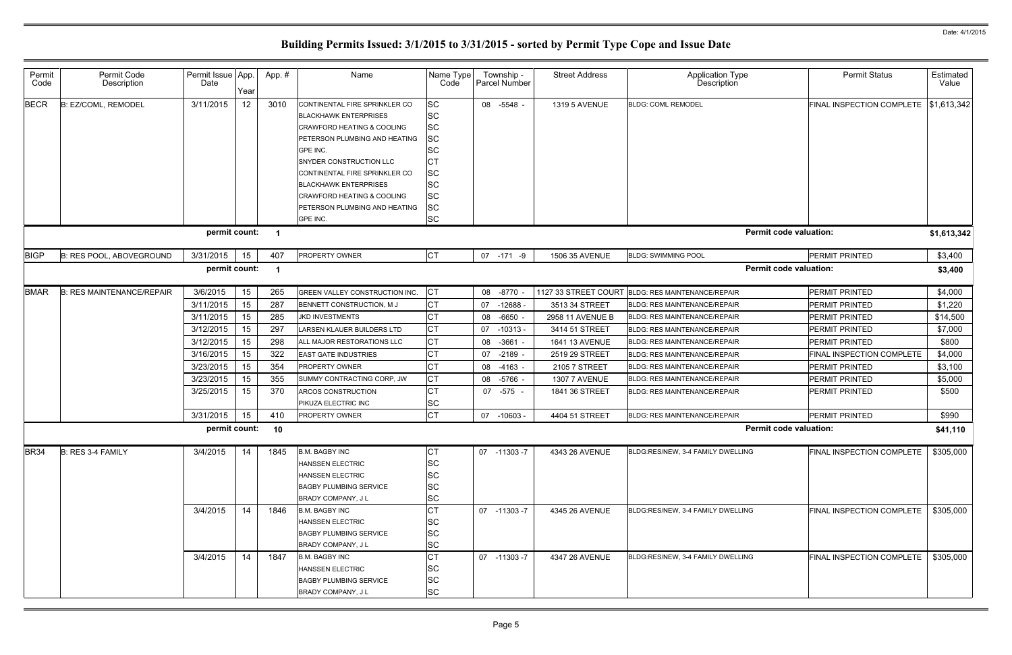| Permit<br>Code | Permit Code<br>Description       | Permit Issue App.<br>Date | Year | App.#          | Name                                                                                                                                                                                                                                                                                                                       | Name Type<br>Code                                                                                                                           | Township -<br>Parcel Number | <b>Street Address</b> | <b>Application Type</b><br>Description | <b>Permit Status</b>             | Estimated<br>Value |
|----------------|----------------------------------|---------------------------|------|----------------|----------------------------------------------------------------------------------------------------------------------------------------------------------------------------------------------------------------------------------------------------------------------------------------------------------------------------|---------------------------------------------------------------------------------------------------------------------------------------------|-----------------------------|-----------------------|----------------------------------------|----------------------------------|--------------------|
| <b>BECR</b>    | : EZ/COML, REMODEL               | 3/11/2015                 | 12   | 3010           | CONTINENTAL FIRE SPRINKLER CO<br><b>BLACKHAWK ENTERPRISES</b><br><b>CRAWFORD HEATING &amp; COOLING</b><br>PETERSON PLUMBING AND HEATING<br>GPE INC.<br>SNYDER CONSTRUCTION LLC<br>CONTINENTAL FIRE SPRINKLER CO<br><b>BLACKHAWK ENTERPRISES</b><br>CRAWFORD HEATING & COOLING<br>PETERSON PLUMBING AND HEATING<br>GPE INC. | <b>SC</b><br><b>SC</b><br><b>SC</b><br><b>SC</b><br><b>SC</b><br><b>CT</b><br><b>SC</b><br><b>SC</b><br><b>SC</b><br><b>SC</b><br><b>SC</b> | 08 -5548 -                  | <b>1319 5 AVENUE</b>  | <b>BLDG: COML REMODEL</b>              | <b>FINAL INSPECTION COMPLETE</b> | \$1,613,342        |
|                |                                  | permit count:             |      | $\blacksquare$ |                                                                                                                                                                                                                                                                                                                            |                                                                                                                                             |                             |                       | <b>Permit code valuation:</b>          |                                  | \$1,613,342        |
| <b>BIGP</b>    | <b>B: RES POOL, ABOVEGROUND</b>  | 3/31/2015                 | 15   | 407            | PROPERTY OWNER                                                                                                                                                                                                                                                                                                             | <b>CT</b>                                                                                                                                   | 07 -171 -9                  | 1506 35 AVENUE        | <b>BLDG: SWIMMING POOL</b>             | PERMIT PRINTED                   | \$3,400            |
|                |                                  | permit count:             |      | - 1            |                                                                                                                                                                                                                                                                                                                            |                                                                                                                                             |                             |                       | <b>Permit code valuation:</b>          |                                  | \$3,400            |
| <b>BMAR</b>    | <b>B: RES MAINTENANCE/REPAIR</b> | 3/6/2015                  | 15   | 265            | GREEN VALLEY CONSTRUCTION INC.                                                                                                                                                                                                                                                                                             | <b>CT</b>                                                                                                                                   | 08 -8770                    | 1127 33 STREET COURT  | <b>BLDG: RES MAINTENANCE/REPAIR</b>    | <b>PERMIT PRINTED</b>            | \$4,000            |
|                |                                  | 3/11/2015                 | 15   | 287            | BENNETT CONSTRUCTION, M J                                                                                                                                                                                                                                                                                                  | <b>CT</b>                                                                                                                                   | 07<br>$-12688$              | 3513 34 STREET        | <b>BLDG: RES MAINTENANCE/REPAIR</b>    | <b>PERMIT PRINTED</b>            | \$1,220            |
|                |                                  | 3/11/2015                 | 15   | 285            | <b>JKD INVESTMENTS</b>                                                                                                                                                                                                                                                                                                     | <b>CT</b>                                                                                                                                   | 08<br>-6650                 | 2958 11 AVENUE B      | <b>BLDG: RES MAINTENANCE/REPAIR</b>    | <b>PERMIT PRINTED</b>            | \$14,500           |
|                |                                  | 3/12/2015                 | 15   | 297            | LARSEN KLAUER BUILDERS LTD                                                                                                                                                                                                                                                                                                 | <b>CT</b>                                                                                                                                   | 07<br>$-10313$              | 3414 51 STREET        | <b>BLDG: RES MAINTENANCE/REPAIR</b>    | <b>PERMIT PRINTED</b>            | \$7,000            |
|                |                                  | 3/12/2015                 | 15   | 298            | ALL MAJOR RESTORATIONS LLC                                                                                                                                                                                                                                                                                                 | <b>CT</b>                                                                                                                                   | 08<br>$-3661$               | 1641 13 AVENUE        | <b>BLDG: RES MAINTENANCE/REPAIR</b>    | <b>PERMIT PRINTED</b>            | \$800              |
|                |                                  | 3/16/2015                 | 15   | 322            | <b>EAST GATE INDUSTRIES</b>                                                                                                                                                                                                                                                                                                | <b>CT</b>                                                                                                                                   | 07<br>-2189                 | 2519 29 STREET        | <b>BLDG: RES MAINTENANCE/REPAIR</b>    | <b>FINAL INSPECTION COMPLETE</b> | \$4,000            |
|                |                                  | 3/23/2015                 | 15   | 354            | PROPERTY OWNER                                                                                                                                                                                                                                                                                                             | <b>CT</b>                                                                                                                                   | $-4163 -$<br>08             | 2105 7 STREET         | <b>BLDG: RES MAINTENANCE/REPAIR</b>    | <b>PERMIT PRINTED</b>            | \$3,100            |
|                |                                  | 3/23/2015                 | 15   | 355            | SUMMY CONTRACTING CORP, JW                                                                                                                                                                                                                                                                                                 | Iст                                                                                                                                         | 08<br>-5766                 | <b>1307 7 AVENUE</b>  | <b>BLDG: RES MAINTENANCE/REPAIR</b>    | <b>PERMIT PRINTED</b>            | \$5,000            |
|                |                                  | 3/25/2015                 | 15   | 370            | ARCOS CONSTRUCTION<br>PIKUZA ELECTRIC INC                                                                                                                                                                                                                                                                                  | СT<br><b>SC</b>                                                                                                                             | 07 -575 -                   | 1841 36 STREET        | <b>BLDG: RES MAINTENANCE/REPAIR</b>    | <b>PERMIT PRINTED</b>            | \$500              |
|                |                                  | 3/31/2015                 | 15   | 410            | PROPERTY OWNER                                                                                                                                                                                                                                                                                                             | <b>CT</b>                                                                                                                                   | 07 -10603 -                 | 4404 51 STREET        | BLDG: RES MAINTENANCE/REPAIR           | <b>PERMIT PRINTED</b>            | \$990              |
|                |                                  | permit count:             |      | 10             |                                                                                                                                                                                                                                                                                                                            |                                                                                                                                             |                             |                       | <b>Permit code valuation:</b>          |                                  | \$41,110           |
| <b>BR34</b>    | B: RES 3-4 FAMILY                | 3/4/2015                  | 14   | 1845           | <b>B.M. BAGBY INC</b><br><b>HANSSEN ELECTRIC</b><br><b>HANSSEN ELECTRIC</b><br><b>BAGBY PLUMBING SERVICE</b><br><b>BRADY COMPANY, JL</b>                                                                                                                                                                                   | СT<br><b>SC</b><br><b>SC</b><br><b>SC</b><br><b>SC</b>                                                                                      | 07 -11303 -7                | 4343 26 AVENUE        | BLDG:RES/NEW, 3-4 FAMILY DWELLING      | <b>FINAL INSPECTION COMPLETE</b> | \$305,000          |
|                |                                  | 3/4/2015                  | 14   | 1846           | <b>B.M. BAGBY INC</b><br><b>HANSSEN ELECTRIC</b><br><b>BAGBY PLUMBING SERVICE</b><br><b>BRADY COMPANY, JL</b>                                                                                                                                                                                                              | <b>CT</b><br><b>SC</b><br><b>SC</b><br><b>SC</b>                                                                                            | 07 -11303 -7                | 4345 26 AVENUE        | BLDG:RES/NEW, 3-4 FAMILY DWELLING      | <b>FINAL INSPECTION COMPLETE</b> | \$305,000          |
|                |                                  | 3/4/2015                  | 14   | 1847           | <b>B.M. BAGBY INC</b><br><b>HANSSEN ELECTRIC</b><br><b>BAGBY PLUMBING SERVICE</b><br>BRADY COMPANY, J L                                                                                                                                                                                                                    | <b>CT</b><br><b>SC</b><br><b>SC</b><br><b>SC</b>                                                                                            | 07 -11303 -7                | 4347 26 AVENUE        | BLDG:RES/NEW, 3-4 FAMILY DWELLING      | <b>FINAL INSPECTION COMPLETE</b> | \$305,000          |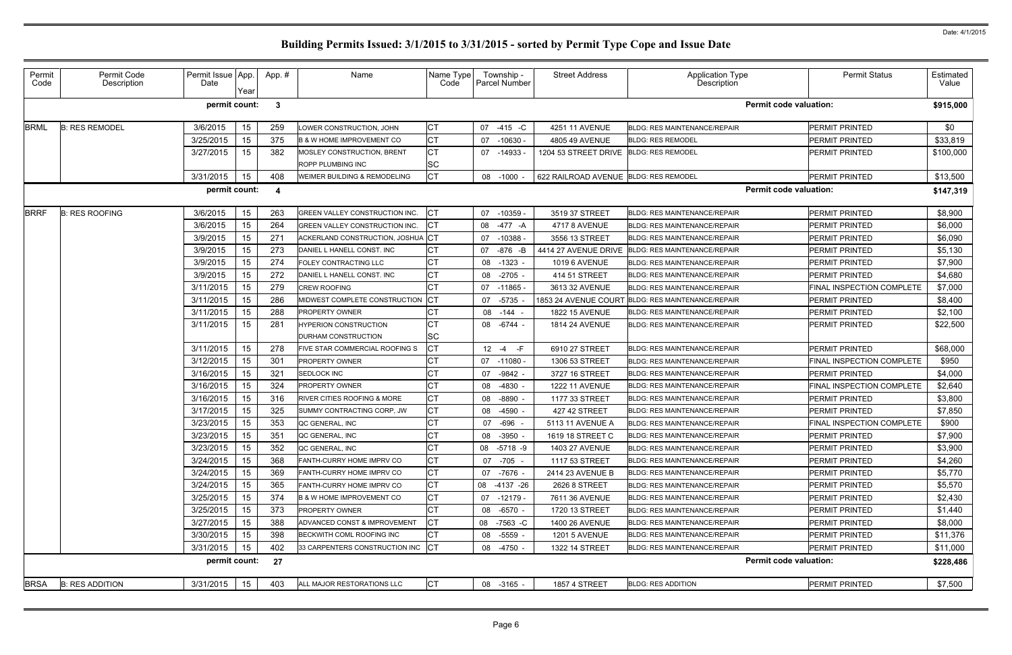| Permit<br>Code | Permit Code<br>Description | Permit Issue App.<br>Date | Year | App.# | Name                                  | Name Type<br>Code     | Township -<br><b>Parcel Number</b> | <b>Street Address</b>                 | <b>Application Type</b><br>Description | <b>Permit Status</b>      | Estimated<br>Value |
|----------------|----------------------------|---------------------------|------|-------|---------------------------------------|-----------------------|------------------------------------|---------------------------------------|----------------------------------------|---------------------------|--------------------|
|                |                            | permit count:             |      | -3    |                                       |                       |                                    |                                       | <b>Permit code valuation:</b>          |                           | \$915,000          |
| <b>BRML</b>    | <b>B: RES REMODEL</b>      | 3/6/2015                  | 15   | 259   | LOWER CONSTRUCTION, JOHN              | <b>CT</b>             | 07 -415 -C                         | 4251 11 AVENUE                        | <b>BLDG: RES MAINTENANCE/REPAIR</b>    | <b>PERMIT PRINTED</b>     | \$0                |
|                |                            | 3/25/2015                 | 15   | 375   | <b>B &amp; W HOME IMPROVEMENT CO</b>  | <b>CT</b>             | $-10630$<br>07                     | 4805 49 AVENUE                        | <b>BLDG: RES REMODEL</b>               | <b>PERMIT PRINTED</b>     | \$33,819           |
|                |                            | 3/27/2015                 | 15   | 382   | MOSLEY CONSTRUCTION, BRENT            | СT                    | 07 -14933                          | 1204 53 STREET DRIVE                  | <b>BLDG: RES REMODEL</b>               | <b>PERMIT PRINTED</b>     | \$100,000          |
|                |                            |                           |      |       | ROPP PLUMBING INC                     | SC                    |                                    |                                       |                                        |                           |                    |
|                |                            | 3/31/2015                 | 15   | 408   | WEIMER BUILDING & REMODELING          | СT                    | 08 -1000                           | 622 RAILROAD AVENUE BLDG: RES REMODEL |                                        | <b>PERMIT PRINTED</b>     | \$13,500           |
|                |                            | permit count:             |      | -4    |                                       |                       |                                    |                                       | <b>Permit code valuation:</b>          |                           | \$147,319          |
| <b>BRRF</b>    | <b>B: RES ROOFING</b>      | 3/6/2015                  | 15   | 263   | GREEN VALLEY CONSTRUCTION INC.        | СT                    | 07 -10359 -                        | 3519 37 STREET                        | <b>BLDG: RES MAINTENANCE/REPAIR</b>    | <b>PERMIT PRINTED</b>     | \$8,900            |
|                |                            | 3/6/2015                  | 15   | 264   | <b>GREEN VALLEY CONSTRUCTION INC.</b> | СT                    | -477 -A<br>08                      | <b>4717 8 AVENUE</b>                  | <b>BLDG: RES MAINTENANCE/REPAIR</b>    | <b>PERMIT PRINTED</b>     | \$6,000            |
|                |                            | 3/9/2015                  | 15   | 271   | ACKERLAND CONSTRUCTION, JOSHUA CT     |                       | $-10388$<br>07                     | 3556 13 STREET                        | <b>BLDG: RES MAINTENANCE/REPAIR</b>    | <b>PERMIT PRINTED</b>     | \$6,090            |
|                |                            | 3/9/2015                  | 15   | 273   | DANIEL L HANELL CONST. INC            | СT                    | $-876$ $-B$<br>07                  | 4414 27 AVENUE DRIVE                  | <b>BLDG: RES MAINTENANCE/REPAIR</b>    | <b>PERMIT PRINTED</b>     | \$5,130            |
|                |                            | 3/9/2015                  | 15   | 274   | FOLEY CONTRACTING LLC                 | CТ                    | 08<br>$-1323$                      | <b>1019 6 AVENUE</b>                  | <b>BLDG: RES MAINTENANCE/REPAIR</b>    | <b>PERMIT PRINTED</b>     | \$7,900            |
|                |                            | 3/9/2015                  | 15   | 272   | DANIEL L HANELL CONST. INC            | СT                    | $-2705$<br>08                      | 414 51 STREET                         | <b>BLDG: RES MAINTENANCE/REPAIR</b>    | <b>PERMIT PRINTED</b>     | \$4,680            |
|                |                            | 3/11/2015                 | 15   | 279   | <b>CREW ROOFING</b>                   |                       | 07 -11865                          | 3613 32 AVENUE                        | <b>BLDG: RES MAINTENANCE/REPAIR</b>    | FINAL INSPECTION COMPLETE | \$7,000            |
|                |                            | 3/11/2015                 | 15   | 286   | MIDWEST COMPLETE CONSTRUCTION         | <b>CT</b>             | $-5735$<br>07                      | 1853 24 AVENUE COURT                  | BLDG: RES MAINTENANCE/REPAIR           | <b>PERMIT PRINTED</b>     | \$8,400            |
|                |                            | 3/11/2015                 | 15   | 288   | PROPERTY OWNER                        | СT                    | 08 -144                            | <b>1822 15 AVENUE</b>                 | <b>BLDG: RES MAINTENANCE/REPAIR</b>    | <b>PERMIT PRINTED</b>     | \$2,100            |
|                |                            | 3/11/2015                 | 15   | 281   | <b>HYPERION CONSTRUCTION</b>          | CТ                    | 08 - 6744 -                        | <b>1814 24 AVENUE</b>                 | <b>BLDG: RES MAINTENANCE/REPAIR</b>    | <b>PERMIT PRINTED</b>     | \$22,500           |
|                |                            |                           |      |       | DURHAM CONSTRUCTION                   | SC                    |                                    |                                       |                                        |                           |                    |
|                |                            | 3/11/2015                 | 15   | 278   | FIVE STAR COMMERCIAL ROOFING S        | СT                    | $12 - 4$<br>-F.                    | 6910 27 STREET                        | <b>BLDG: RES MAINTENANCE/REPAIR</b>    | <b>PERMIT PRINTED</b>     | \$68,000           |
|                |                            | 3/12/2015                 | 15   | 301   | PROPERTY OWNER                        | 31                    | 07 -11080 -                        | 1306 53 STREET                        | <b>BLDG: RES MAINTENANCE/REPAIR</b>    | FINAL INSPECTION COMPLETE | \$950              |
|                |                            | 3/16/2015                 | 15   | 321   | SEDLOCK INC                           | СT                    | $-9842 -$<br>07                    | 3727 16 STREET                        | <b>BLDG: RES MAINTENANCE/REPAIR</b>    | <b>PERMIT PRINTED</b>     | \$4,000            |
|                |                            | 3/16/2015                 | 15   | 324   | PROPERTY OWNER                        | СT                    | -4830<br>08                        | <b>1222 11 AVENUE</b>                 | <b>BLDG: RES MAINTENANCE/REPAIR</b>    | FINAL INSPECTION COMPLETE | \$2,640            |
|                |                            | 3/16/2015                 | 15   | 316   | RIVER CITIES ROOFING & MORE           | СT                    | 08<br>$-8890$                      | 1177 33 STREET                        | <b>BLDG: RES MAINTENANCE/REPAIR</b>    | <b>PERMIT PRINTED</b>     | \$3,800            |
|                |                            | 3/17/2015                 | 15   | 325   | SUMMY CONTRACTING CORP, JW            | СT                    | -4590<br>08                        | 427 42 STREET                         | <b>BLDG: RES MAINTENANCE/REPAIR</b>    | <b>PERMIT PRINTED</b>     | \$7,850            |
|                |                            | 3/23/2015                 | 15   | 353   | QC GENERAL, INC                       | CТ                    | $-696$<br>07                       | 5113 11 AVENUE A                      | <b>BLDG: RES MAINTENANCE/REPAIR</b>    | FINAL INSPECTION COMPLETE | \$900              |
|                |                            | 3/23/2015                 | 15   | 351   | QC GENERAL, INC                       | $\sim$ T $\sim$<br>◡∣ | 08<br>-3950 -                      | 1619 18 STREET C                      | BLDG: RES MAINTENANCE/REPAIR           | PERMIT PRINTED            | \$7,900            |
|                |                            | 3/23/2015                 | 15   | 352   | QC GENERAL, INC                       | СT                    | 08 -5718 -9                        | <b>1403 27 AVENUE</b>                 | <b>BLDG: RES MAINTENANCE/REPAIR</b>    | <b>PERMIT PRINTED</b>     | \$3,900            |
|                |                            | 3/24/2015                 | 15   | 368   | FANTH-CURRY HOME IMPRV CO             | CТ                    | 07 -705 -                          | 1117 53 STREET                        | <b>BLDG: RES MAINTENANCE/REPAIR</b>    | <b>PERMIT PRINTED</b>     | \$4,260            |
|                |                            | 3/24/2015                 | 15   | 369   | FANTH-CURRY HOME IMPRV CO             | СT                    | 07 -7676 -                         | 2414 23 AVENUE B                      | <b>BLDG: RES MAINTENANCE/REPAIR</b>    | <b>PERMIT PRINTED</b>     | \$5,770            |
|                |                            | 3/24/2015                 | 15   | 365   | FANTH-CURRY HOME IMPRV CO             | СТ                    | 08 -4137 -26                       | 2626 8 STREET                         | <b>BLDG: RES MAINTENANCE/REPAIR</b>    | <b>PERMIT PRINTED</b>     | \$5,570            |
|                |                            | 3/25/2015                 | 15   | 374   | <b>B &amp; W HOME IMPROVEMENT CO</b>  | СT                    | $07 - 12179 -$                     | 7611 36 AVENUE                        | <b>BLDG: RES MAINTENANCE/REPAIR</b>    | <b>PERMIT PRINTED</b>     | \$2,430            |
|                |                            | 3/25/2015                 | 15   | 373   | PROPERTY OWNER                        | CТ                    | 08 -6570 -                         | 1720 13 STREET                        | <b>BLDG: RES MAINTENANCE/REPAIR</b>    | <b>PERMIT PRINTED</b>     | \$1,440            |
|                |                            | 3/27/2015                 | 15   | 388   | ADVANCED CONST & IMPROVEMENT          | CТ                    | 08 -7563 -C                        | 1400 26 AVENUE                        | BLDG: RES MAINTENANCE/REPAIR           | <b>PERMIT PRINTED</b>     | \$8,000            |
|                |                            | 3/30/2015                 | 15   | 398   | BECKWITH COML ROOFING INC             | СT                    | -5559 -<br>08                      | <b>1201 5 AVENUE</b>                  | <b>BLDG: RES MAINTENANCE/REPAIR</b>    | <b>PERMIT PRINTED</b>     | \$11,376           |
|                |                            | 3/31/2015                 | 15   | 402   | 33 CARPENTERS CONSTRUCTION INC        | <b>CT</b>             | 08 -4750 -                         | 1322 14 STREET                        | <b>BLDG: RES MAINTENANCE/REPAIR</b>    | <b>PERMIT PRINTED</b>     | \$11,000           |
|                |                            | permit count:             |      | 27    |                                       |                       |                                    |                                       | <b>Permit code valuation:</b>          |                           | \$228,486          |
| <b>BRSA</b>    | <b>B: RES ADDITION</b>     | 3/31/2015                 | 15   | 403   | ALL MAJOR RESTORATIONS LLC            | <b>CT</b>             | 08 -3165 -                         | <b>1857 4 STREET</b>                  | <b>BLDG: RES ADDITION</b>              | PERMIT PRINTED            | \$7,500            |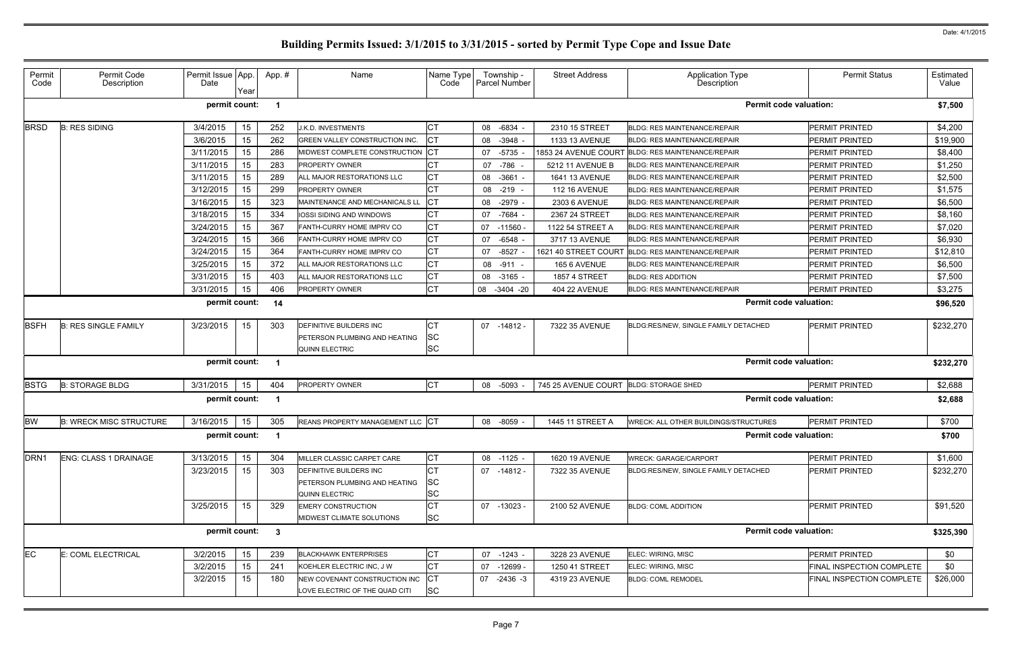| e                             | <b>Permit Status</b>             | Estimated<br>Value |
|-------------------------------|----------------------------------|--------------------|
| <b>Permit code valuation:</b> |                                  | \$7,500            |
|                               | PERMIT PRINTED                   | \$4,200            |
|                               | PERMIT PRINTED                   | \$19,900           |
|                               | PERMIT PRINTED                   | \$8,400            |
|                               | PERMIT PRINTED                   | \$1,250            |
|                               | PERMIT PRINTED                   | \$2,500            |
|                               | PERMIT PRINTED                   | \$1,575            |
|                               | PERMIT PRINTED                   | \$6,500            |
|                               | PERMIT PRINTED                   | \$8,160            |
|                               | PERMIT PRINTED                   | \$7,020            |
|                               | PERMIT PRINTED                   | \$6,930            |
|                               | PERMIT PRINTED                   | \$12,810           |
|                               | PERMIT PRINTED                   | \$6,500            |
|                               | PERMIT PRINTED                   | \$7,500            |
|                               | PERMIT PRINTED                   | \$3,275            |
| <b>Permit code valuation:</b> |                                  | \$96,520           |
| <b>TACHED</b>                 | PERMIT PRINTED                   | \$232,270          |
| <b>Permit code valuation:</b> |                                  | \$232,270          |
|                               | PERMIT PRINTED                   | \$2,688            |
| <b>Permit code valuation:</b> |                                  | \$2,688            |
| <b>UCTURES</b>                | PERMIT PRINTED                   | \$700              |
| <b>Permit code valuation:</b> |                                  | \$700              |
|                               | PERMIT PRINTED                   | \$1,600            |
| <b>TACHED</b>                 | PERMIT PRINTED                   | \$232,270          |
|                               | <b>PERMIT PRINTED</b>            | \$91,520           |
| <b>Permit code valuation:</b> |                                  | \$325,390          |
|                               | PERMIT PRINTED                   | \$0                |
|                               | <b>FINAL INSPECTION COMPLETE</b> | \$0                |
|                               | FINAL INSPECTION COMPLETE        | \$26,000           |
|                               |                                  |                    |

### Permit Code Permit Code Description Permit Issue Date App. Year App. # | Name Name Name Type Code Township - Parcel Number Street Address | Application Type Description BRSD B: RES SIDING 3/4/2015 15 252 J.K.D. INVESTMENTS CT 08 -6834 - 2310 15 STREET BLDG: RES MAINTENANCE/REPAIR PERMIT PRINTED \$4,200 3/6/2015 15 262 GREEN VALLEY CONSTRUCTION INC. CT | 08 -3948 - 1133 13 AVENUE BLDG: RES MAINTENANCE/REPAIR 3/11/2015 | 15 | 286 MIDWEST COMPLETE CONSTRUCTION CT | 07 -5735 - 1853 24 AVENUE COURT BLDG: RES MAINTENANCE/REPAIR 3/11/2015 | 15 | 283 PROPERTY OWNER CT | 07 -786 - | 5212 11 AVENUE B | BLDG: RES MAINTENANCE/REPAIR 3/11/2015 15 289 ALL MAJOR RESTORATIONS LLC CT 108 -3661 - 1641 13 AVENUE BLDG: RES MAINTENANCE/REPAIR 3/12/2015 | 15 | 299 PROPERTY OWNER CT | 08 -219 - | 112 16 AVENUE |BLDG: RES MAINTENANCE/REPAIR 3/16/2015 | 15 | 323 MAINTENANCE AND MECHANICALS LL CT | 08 -2979 - | 2303 6 AVENUE | BLDG: RES MAINTENANCE/REPAIR  $3/18/2015$  |  $15$  |  $334$  |IOSSI SIDING AND WINDOWS | CT | 07 -7684 - | 2367 24 STREET |BLDG: RES MAINTENANCE/REPAIR 3/24/2015 | 15 | 367 FANTH-CURRY HOME IMPRV CO CT | 07 -11560 - | 1122 54 STREET A BLDG: RES MAINTENANCE/REPAIR  $3/24/2015$  |  $15$  |  $366$  FANTH-CURRY HOME IMPRV CO  $\overline{CT}$  | 07 -6548 - | 3717 13 AVENUE |BLDG: RES MAINTENANCE/REPAIR 3/24/2015 | 15 | 364 FANTH-CURRY HOME IMPRV CO CT | 07 -8527 - 1621 40 STREET COURT BLDG: RES MAINTENANCE/REPAIR 3/25/2015 | 15 | 372 ALL MAJOR RESTORATIONS LLC CT | 08 -911 - | 165 6 AVENUE | BLDG: RES MAINTENANCE/REPAIR 3/31/2015 15 403 ALL MAJOR RESTORATIONS LLC CT 108 -3165 - 1857 4 STREET BLDG: RES ADDITION 3/31/2015 | 15 | 406 PROPERTY OWNER CT | 08 -3404 -20 | 404 22 AVENUE | BLDG: RES MAINTENANCE/REPAIR BSFH B: RES SINGLE FAMILY 3/23/2015 15 303 DEFINITIVE BUILDERS INC CT 07 -14812 - 7322 35 AVENUE BLDG:RES/NEW, SINGLE FAMILY DETACHED PERMIT PRINTED \$232,270 PETERSON PLUMBING AND HEATING SC QUINN ELECTRIC SC BSTG B: STORAGE BLDG 3/31/2015 | 15 | 404 PROPERTY OWNER CT | 08 -5093 - 745 25 AVENUE COURT BLDG: STORAGE SHED BW B: WRECK MISC STRUCTURE | 3/16/2015 | 15 | 305 REANS PROPERTY MANAGEMENT LLC CT | 08 -8059 - | 1445 11 STREET A WRECK: ALL OTHER BUILDINGS/STRI DRN1 ENG: CLASS 1 DRAINAGE | 3/13/2015 | 15 | 304 MILLER CLASSIC CARPET CARE | CT | 08 -1125 - | 1620 19 AVENUE |WRECK: GARAGE/CARPORT | PERMIT PRINTED | \$1,600 3/23/2015 | 15 | 303 DEFINITIVE BUILDERS INC CT | 07 -14812 - 7322 35 AVENUE BLDG:RES/NEW, SINGLE FAMILY DET PETERSON PLUMBING AND HEATING SC QUINN ELECTRIC SC 3/25/2015 | 15 | 329 EMERY CONSTRUCTION | CT | 07 -13023 - | 2100 52 AVENUE |BLDG: COML ADDITION | PERMIT PRINTED | \$91,520 MIDWEST CLIMATE SOLUTIONS SC EC E: COML ELECTRICAL 3/2/2015 15 239 BLACKHAWK ENTERPRISES CT 07 -1243 - 3228 23 AVENUE ELEC: WIRING, MISC PERMIT PRINTED \$0 3/2/2015 15 241 KOEHLER ELECTRIC INC, J W CT 07 -12699 - 1250 41 STREET ELEC: WIRING, MISC 3/2/2015 15 180 NEW COVENANT CONSTRUCTION INC CT 107 -2436 -3 4319 23 AVENUE BLDG: COML REMODEL LOVE ELECTRIC OF THE QUAD CITI $\left| \text{SC} \right|$ **permit count: 1 Permit code valuation: \$7,500 permit count: 14 Permit code valuation: \$96,520 permit count: 1 Permit code valuation: \$232,270 permit count: 1 Permit code valuation: \$2,688 permit count: 1 Permit code valuation: \$700 permit count: 3 Permit code valuation: \$325,390**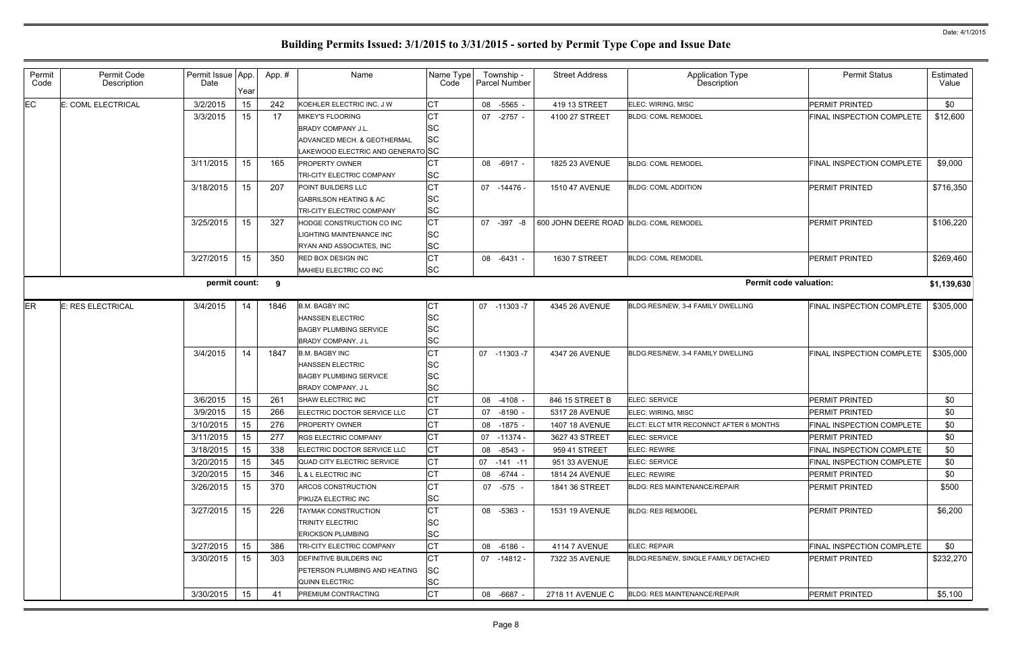| Permit<br>Code | Permit Code<br>Description | Permit Issue App.<br>Date | Year | App.# | Name                                                                                                                     | Name Type<br>Code                   | Township -<br><b>Parcel Number</b> | <b>Street Address</b>                  | Application Type<br>Description        | <b>Permit Status</b>      | Estimated<br>Value |
|----------------|----------------------------|---------------------------|------|-------|--------------------------------------------------------------------------------------------------------------------------|-------------------------------------|------------------------------------|----------------------------------------|----------------------------------------|---------------------------|--------------------|
| EC.            | E: COML ELECTRICAL         | 3/2/2015                  | 15   | 242   | KOEHLER ELECTRIC INC, J W                                                                                                | <b>CT</b>                           | 08 -5565                           | 419 13 STREET                          | ELEC: WIRING, MISC                     | <b>PERMIT PRINTED</b>     | \$0                |
|                |                            | 3/3/2015                  | 15   | 17    | <b>MIKEY'S FLOORING</b><br><b>BRADY COMPANY J.L.</b><br>ADVANCED MECH. & GEOTHERMAL<br>LAKEWOOD ELECTRIC AND GENERATO SC | SC<br>SC                            | 07 -2757 -                         | 4100 27 STREET                         | <b>BLDG: COML REMODEL</b>              | FINAL INSPECTION COMPLETE | \$12,600           |
|                |                            | 3/11/2015                 | 15   | 165   | <b>PROPERTY OWNER</b><br><b>TRI-CITY ELECTRIC COMPANY</b>                                                                | CТ<br>SC                            | 08 -6917 -                         | 1825 23 AVENUE                         | <b>BLDG: COML REMODEL</b>              | FINAL INSPECTION COMPLETE | \$9,000            |
|                |                            | 3/18/2015                 | 15   | 207   | <b>POINT BUILDERS LLC</b><br><b>GABRILSON HEATING &amp; AC</b><br>TRI-CITY ELECTRIC COMPANY                              | <b>CT</b><br>SC<br><b>SC</b>        | 07 -14476 -                        | 1510 47 AVENUE                         | <b>BLDG: COML ADDITION</b>             | PERMIT PRINTED            | \$716,350          |
|                |                            | 3/25/2015                 | 15   | 327   | HODGE CONSTRUCTION CO INC<br>LIGHTING MAINTENANCE INC<br>RYAN AND ASSOCIATES, INC                                        | <b>CT</b><br><b>SC</b><br><b>SC</b> | 07 -397 -8                         | 600 JOHN DEERE ROAD BLDG: COML REMODEL |                                        | <b>PERMIT PRINTED</b>     | \$106,220          |
|                |                            | 3/27/2015                 | 15   | 350   | <b>RED BOX DESIGN INC</b><br>MAHIEU ELECTRIC CO INC                                                                      | СT<br><b>SC</b>                     | 08 -6431 -                         | 1630 7 STREET                          | <b>BLDG: COML REMODEL</b>              | PERMIT PRINTED            | \$269,460          |
|                |                            | permit count:             |      | -9    |                                                                                                                          |                                     |                                    |                                        | <b>Permit code valuation:</b>          |                           | \$1,139,630        |
| ER             | E: RES ELECTRICAL          | 3/4/2015                  | 14   | 1846  | <b>B.M. BAGBY INC</b><br><b>HANSSEN ELECTRIC</b><br><b>BAGBY PLUMBING SERVICE</b><br><b>BRADY COMPANY, JL</b>            | СT<br>ΙSC<br><b>SC</b><br><b>SC</b> | 07 -11303 -7                       | 4345 26 AVENUE                         | BLDG:RES/NEW, 3-4 FAMILY DWELLING      | FINAL INSPECTION COMPLETE | \$305,000          |
|                |                            | 3/4/2015                  | 14   | 1847  | <b>B.M. BAGBY INC</b><br><b>HANSSEN ELECTRIC</b><br><b>BAGBY PLUMBING SERVICE</b><br><b>BRADY COMPANY, JL</b>            | СT<br><b>SC</b><br><b>SC</b><br>SC  | 07 -11303 -7                       | 4347 26 AVENUE                         | BLDG:RES/NEW, 3-4 FAMILY DWELLING      | FINAL INSPECTION COMPLETE | \$305,000          |
|                |                            | 3/6/2015                  | 15   | 261   | SHAW ELECTRIC INC                                                                                                        | СT                                  | 08 -4108                           | 846 15 STREET B                        | ELEC: SERVICE                          | PERMIT PRINTED            | \$0                |
|                |                            | 3/9/2015                  | 15   | 266   | ELECTRIC DOCTOR SERVICE LLC                                                                                              | <b>CT</b>                           | 07 -8190                           | 5317 28 AVENUE                         | ELEC: WIRING, MISC                     | PERMIT PRINTED            | \$0                |
|                |                            | 3/10/2015                 | 15   | 276   | PROPERTY OWNER                                                                                                           | СT                                  | 08 -1875 -                         | 1407 18 AVENUE                         | ELCT: ELCT MTR RECONNCT AFTER 6 MONTHS | FINAL INSPECTION COMPLETE | \$0                |
|                |                            | 3/11/2015                 | 15   | 277   | RGS ELECTRIC COMPANY                                                                                                     | $\sim$ $\sim$<br>U                  | 07 -11374 -                        | 3627 43 STREET                         | ELEC: SERVICE                          | PERMIT PRINTED            | \$0                |
|                |                            | 3/18/2015                 | 15   | 338   | ELECTRIC DOCTOR SERVICE LLC                                                                                              | <b>CT</b>                           | 08 -8543 -                         | 959 41 STREET                          | ELEC: REWIRE                           | FINAL INSPECTION COMPLETE | \$0                |
|                |                            | 3/20/2015                 | 15   | 345   | QUAD CITY ELECTRIC SERVICE                                                                                               | <b>CT</b>                           | 07 -141 -11                        | 951 33 AVENUE                          | ELEC: SERVICE                          | FINAL INSPECTION COMPLETE | \$0                |
|                |                            | 3/20/2015                 | 15   | 346   | L & L ELECTRIC INC                                                                                                       | СT                                  | 08 - 6744 -                        | 1814 24 AVENUE                         | ELEC: REWIRE                           | PERMIT PRINTED            | \$0                |
|                |                            | 3/26/2015                 | 15   | 370   | ARCOS CONSTRUCTION<br><b>PIKUZA ELECTRIC INC</b>                                                                         | СT<br><b>SC</b>                     | 07 -575 -                          | 1841 36 STREET                         | <b>BLDG: RES MAINTENANCE/REPAIR</b>    | PERMIT PRINTED            | \$500              |
|                |                            | 3/27/2015                 | 15   | 226   | <b>TAYMAK CONSTRUCTION</b><br><b>TRINITY ELECTRIC</b><br><b>ERICKSON PLUMBING</b>                                        | <b>CT</b><br><b>SC</b><br><b>SC</b> | 08 -5363 -                         | 1531 19 AVENUE                         | <b>BLDG: RES REMODEL</b>               | <b>PERMIT PRINTED</b>     | \$6,200            |
|                |                            | 3/27/2015                 | 15   | 386   | <b>TRI-CITY ELECTRIC COMPANY</b>                                                                                         | <b>CT</b>                           | 08 -6186 -                         | <b>4114 7 AVENUE</b>                   | ELEC: REPAIR                           | FINAL INSPECTION COMPLETE | \$0                |
|                |                            | 3/30/2015                 | 15   | 303   | <b>DEFINITIVE BUILDERS INC</b><br><b>PETERSON PLUMBING AND HEATING</b><br>QUINN ELECTRIC                                 | СT<br>SC<br><b>SC</b>               | 07 -14812 -                        | 7322 35 AVENUE                         | BLDG:RES/NEW, SINGLE FAMILY DETACHED   | PERMIT PRINTED            | \$232,270          |
|                |                            | 3/30/2015                 | 15   | -41   | PREMIUM CONTRACTING                                                                                                      | <b>CT</b>                           | 08 -6687 -                         | 2718 11 AVENUE C                       | <b>BLDG: RES MAINTENANCE/REPAIR</b>    | <b>PERMIT PRINTED</b>     | \$5,100            |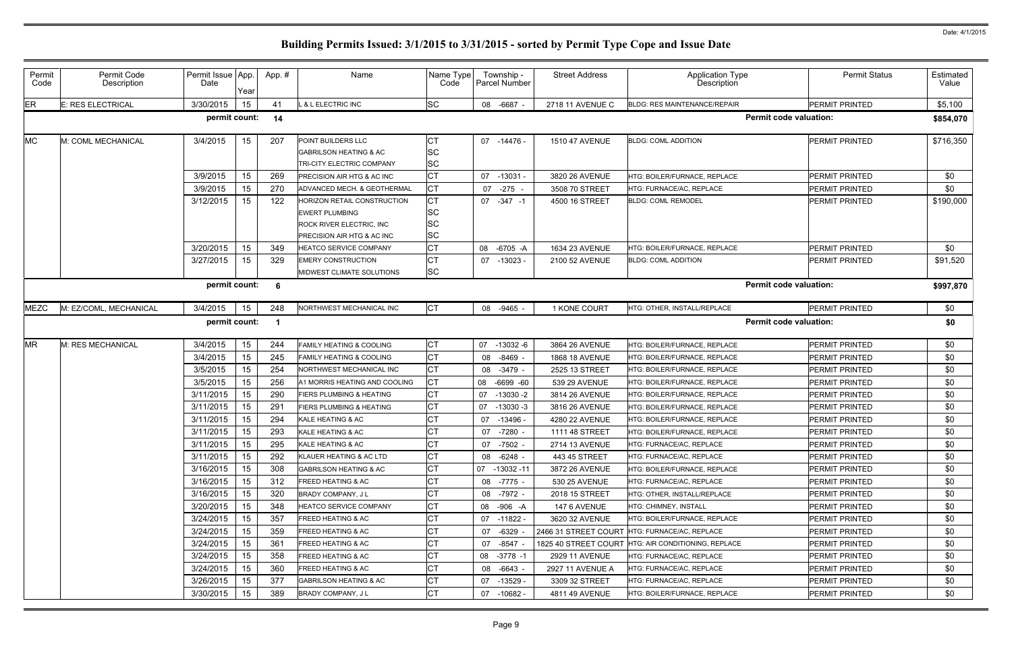| Permit<br>Code | Permit Code<br>Description | Permit Issue App<br>Date | Year | App. # | Name                                                                                                                   | Name Type<br>Code                                | Township -<br>Parcel Number | <b>Street Address</b> | <b>Application Type</b><br>Description              | <b>Permit Status</b>  | Estimated<br>Value |
|----------------|----------------------------|--------------------------|------|--------|------------------------------------------------------------------------------------------------------------------------|--------------------------------------------------|-----------------------------|-----------------------|-----------------------------------------------------|-----------------------|--------------------|
| ER             | E: RES ELECTRICAL          | 3/30/2015                | 15   | 41     | & L ELECTRIC INC                                                                                                       | <b>SC</b>                                        | 08 -6687 -                  | 2718 11 AVENUE C      | <b>BLDG: RES MAINTENANCE/REPAIR</b>                 | <b>PERMIT PRINTED</b> | \$5,100            |
|                |                            | permit count:            |      | 14     |                                                                                                                        |                                                  |                             |                       | <b>Permit code valuation:</b>                       |                       | \$854,070          |
| MC             | M: COML MECHANICAL         | 3/4/2015                 | 15   | 207    | <b>POINT BUILDERS LLC</b><br><b>GABRILSON HEATING &amp; AC</b><br><b>TRI-CITY ELECTRIC COMPANY</b>                     | CТ<br><b>SC</b><br><b>SC</b>                     | 07 -14476 -                 | <b>1510 47 AVENUE</b> | <b>BLDG: COML ADDITION</b>                          | <b>PERMIT PRINTED</b> | \$716,350          |
|                |                            | 3/9/2015                 | 15   | 269    | <b>PRECISION AIR HTG &amp; AC INC</b>                                                                                  | <b>CT</b>                                        | 07 -13031 -                 | 3820 26 AVENUE        | <b>HTG: BOILER/FURNACE. REPLACE</b>                 | PERMIT PRINTED        | \$0                |
|                |                            | 3/9/2015                 | 15   | 270    | ADVANCED MECH. & GEOTHERMAL                                                                                            | СT                                               | $-275$<br>07                | 3508 70 STREET        | HTG: FURNACE/AC, REPLACE                            | <b>PERMIT PRINTED</b> | \$0                |
|                |                            | 3/12/2015                | 15   | 122    | HORIZON RETAIL CONSTRUCTION<br><b>EWERT PLUMBING</b><br><b>ROCK RIVER ELECTRIC, INC.</b><br>PRECISION AIR HTG & AC INC | <b>CT</b><br><b>SC</b><br><b>SC</b><br><b>SC</b> | 07 -347 -1                  | 4500 16 STREET        | <b>BLDG: COML REMODEL</b>                           | <b>PERMIT PRINTED</b> | \$190,000          |
|                |                            | 3/20/2015                | 15   | 349    | <b>HEATCO SERVICE COMPANY</b>                                                                                          | СT                                               | -6705 -A<br>08              | 1634 23 AVENUE        | HTG: BOILER/FURNACE, REPLACE                        | PERMIT PRINTED        | \$0                |
|                |                            | 3/27/2015                | 15   | 329    | <b>EMERY CONSTRUCTION</b><br>MIDWEST CLIMATE SOLUTIONS                                                                 | <b>CT</b><br><b>SC</b>                           | $-13023$<br>07              | 2100 52 AVENUE        | <b>BLDG: COML ADDITION</b>                          | <b>PERMIT PRINTED</b> | \$91,520           |
|                |                            | permit count:            |      | - 6    |                                                                                                                        |                                                  |                             |                       | <b>Permit code valuation:</b>                       |                       | \$997,870          |
| MEZC           | M: EZ/COML, MECHANICAL     | 3/4/2015                 | 15   | 248    | NORTHWEST MECHANICAL INC                                                                                               | <b>CT</b>                                        | 08 -9465 -                  | 1 KONE COURT          | HTG: OTHER, INSTALL/REPLACE                         | <b>PERMIT PRINTED</b> | \$0                |
|                |                            | permit count:            |      |        |                                                                                                                        |                                                  |                             |                       | <b>Permit code valuation:</b>                       |                       | \$0                |
| <b>MR</b>      | M: RES MECHANICAL          | 3/4/2015                 | 15   | 244    | <b>FAMILY HEATING &amp; COOLING</b>                                                                                    | <b>CT</b>                                        | 07 -13032 -6                | 3864 26 AVENUE        | <b>HTG: BOILER/FURNACE. REPLACE</b>                 | <b>PERMIT PRINTED</b> | \$0                |
|                |                            | 3/4/2015                 | 15   | 245    | <b>FAMILY HEATING &amp; COOLING</b>                                                                                    | <b>CT</b>                                        | -8469<br>08                 | 1868 18 AVENUE        | HTG: BOILER/FURNACE, REPLACE                        | PERMIT PRINTED        | \$0                |
|                |                            | 3/5/2015                 | 15   | 254    | NORTHWEST MECHANICAL INC                                                                                               | <b>CT</b>                                        | -3479<br>08                 | 2525 13 STREET        | HTG: BOILER/FURNACE, REPLACE                        | <b>PERMIT PRINTED</b> | \$0                |
|                |                            | 3/5/2015                 | 15   | 256    | A1 MORRIS HEATING AND COOLING                                                                                          | CТ                                               | $-6699 - 60$<br>08          | 539 29 AVENUE         | HTG: BOILER/FURNACE, REPLACE                        | <b>PERMIT PRINTED</b> | \$0                |
|                |                            | 3/11/2015                | 15   | 290    | <b>FIERS PLUMBING &amp; HEATING</b>                                                                                    | СT                                               | 07<br>$-13030 - 2$          | 3814 26 AVENUE        | HTG: BOILER/FURNACE, REPLACE                        | PERMIT PRINTED        | \$0                |
|                |                            | 3/11/2015                | 15   | 291    | <b>FIERS PLUMBING &amp; HEATING</b>                                                                                    | СT                                               | $-13030 - 3$<br>07          | 3816 26 AVENUE        | HTG: BOILER/FURNACE, REPLACE                        | PERMIT PRINTED        | \$0                |
|                |                            | 3/11/2015                | 15   | 294    | KALE HEATING & AC                                                                                                      | CТ                                               | $-13496$<br>07              | 4280 22 AVENUE        | HTG: BOILER/FURNACE, REPLACE                        | PERMIT PRINTED        | \$0                |
|                |                            | 3/11/2015                | 15   | 293    | KALE HEATING & AC                                                                                                      |                                                  | 07<br>-7280                 | 1111 48 STREET        | HTG: BOILER/FURNACE, REPLACE                        | <b>PERMIT PRINTED</b> | \$0                |
|                |                            | 3/11/2015                | 15   | 295    | KALE HEATING & AC                                                                                                      | СT                                               | 07 -7502 -                  | 2714 13 AVENUE        | HTG: FURNACE/AC, REPLACE                            | PERMIT PRINTED        | \$0                |
|                |                            | 3/11/2015                | 15   | 292    | KLAUER HEATING & AC LTD                                                                                                | СT                                               | 08 -6248 -                  | 443 45 STREET         | HTG: FURNACE/AC, REPLACE                            | PERMIT PRINTED        | \$0                |
|                |                            | 3/16/2015                | 15   | 308    | <b>GABRILSON HEATING &amp; AC</b>                                                                                      | СT                                               | 07 -13032 -11               | 3872 26 AVENUE        | HTG: BOILER/FURNACE, REPLACE                        | <b>PERMIT PRINTED</b> | \$0                |
|                |                            | 3/16/2015                | 15   | 312    | <b>FREED HEATING &amp; AC</b>                                                                                          | CТ                                               | 08 -7775 -                  | 530 25 AVENUE         | HTG: FURNACE/AC, REPLACE                            | PERMIT PRINTED        | \$0                |
|                |                            | 3/16/2015                | 15   | 320    | BRADY COMPANY, J L                                                                                                     | СT                                               | 08 -7972 -                  | 2018 15 STREET        | HTG: OTHER, INSTALL/REPLACE                         | <b>PERMIT PRINTED</b> | \$0                |
|                |                            | 3/20/2015                | 15   | 348    | <b>HEATCO SERVICE COMPANY</b>                                                                                          | CТ                                               | 08 -906 -A                  | 147 6 AVENUE          | <b>HTG: CHIMNEY. INSTALL</b>                        | PERMIT PRINTED        | \$0                |
|                |                            | 3/24/2015                | 15   | 357    | <b>FREED HEATING &amp; AC</b>                                                                                          | СT                                               | 07 -11822 -                 | 3620 32 AVENUE        | HTG: BOILER/FURNACE, REPLACE                        | PERMIT PRINTED        | \$0                |
|                |                            | 3/24/2015                | 15   | 359    | FREED HEATING & AC                                                                                                     | СT                                               | 07 -6329                    |                       | 2466 31 STREET COURT HTG: FURNACE/AC, REPLACE       | PERMIT PRINTED        | \$0                |
|                |                            | 3/24/2015                | 15   | 361    | <b>FREED HEATING &amp; AC</b>                                                                                          | СT                                               | $-8547$<br>07               |                       | 1825 40 STREET COURT HTG: AIR CONDITIONING, REPLACE | PERMIT PRINTED        | \$0                |
|                |                            | 3/24/2015                | 15   | 358    | <b>FREED HEATING &amp; AC</b>                                                                                          | CТ                                               | 08 -3778 -1                 | 2929 11 AVENUE        | HTG: FURNACE/AC, REPLACE                            | <b>PERMIT PRINTED</b> | \$0                |
|                |                            | 3/24/2015                | 15   | 360    | <b>FREED HEATING &amp; AC</b>                                                                                          | СT                                               | 08 -6643 -                  | 2927 11 AVENUE A      | HTG: FURNACE/AC, REPLACE                            | PERMIT PRINTED        | \$0                |
|                |                            | 3/26/2015                | 15   | 377    | <b>GABRILSON HEATING &amp; AC</b>                                                                                      | СT                                               | 07 -13529                   | 3309 32 STREET        | HTG: FURNACE/AC, REPLACE                            | PERMIT PRINTED        | \$0                |
|                |                            | 3/30/2015                | 15   | 389    | BRADY COMPANY, J L                                                                                                     | <b>CT</b>                                        | 07 -10682 -                 | 4811 49 AVENUE        | HTG: BOILER/FURNACE, REPLACE                        | <b>PERMIT PRINTED</b> | \$0                |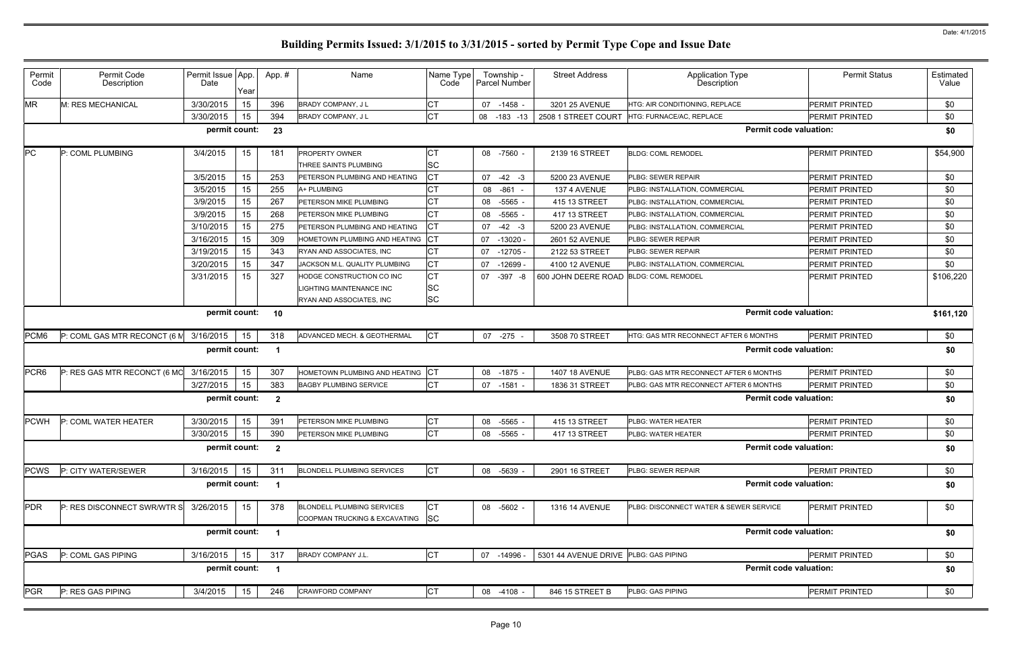| Permit<br>Code   | Permit Code<br>Description   | Permit Issue App.<br>Date | Year | App.#                   | Name                                                               | Name Type<br>Code | Township -<br>Parcel Number | <b>Street Address</b>                  | <b>Application Type</b><br>Description | <b>Permit Status</b>  | Estimated<br>Value |
|------------------|------------------------------|---------------------------|------|-------------------------|--------------------------------------------------------------------|-------------------|-----------------------------|----------------------------------------|----------------------------------------|-----------------------|--------------------|
| <b>MR</b>        | M: RES MECHANICAL            | 3/30/2015                 | 15   | 396                     | <b>BRADY COMPANY, JL</b>                                           | <b>CT</b>         | 07 -1458 -                  | 3201 25 AVENUE                         | HTG: AIR CONDITIONING, REPLACE         | <b>PERMIT PRINTED</b> | \$0                |
|                  |                              | 3/30/2015                 | 15   | 394                     | BRADY COMPANY, J L                                                 | СT                | 08 -183 -13                 | 2508 1 STREET COURT                    | HTG: FURNACE/AC, REPLACE               | PERMIT PRINTED        | \$0                |
|                  |                              | permit count:             |      | 23                      |                                                                    |                   |                             |                                        | <b>Permit code valuation:</b>          |                       | \$0                |
| PC               | P: COML PLUMBING             | 3/4/2015                  | 15   | 181                     | <b>PROPERTY OWNER</b>                                              | СT                | 08 -7560 -                  | 2139 16 STREET                         | <b>BLDG: COML REMODEL</b>              | PERMIT PRINTED        | \$54,900           |
|                  |                              |                           |      |                         | THREE SAINTS PLUMBING                                              | SC                |                             |                                        |                                        |                       |                    |
|                  |                              | 3/5/2015                  | 15   | 253                     | PETERSON PLUMBING AND HEATING                                      | СT                | 07<br>$-42 - 3$             | 5200 23 AVENUE                         | <b>PLBG: SEWER REPAIR</b>              | PERMIT PRINTED        | \$0                |
|                  |                              | 3/5/2015                  | 15   | 255                     | A+ PLUMBING                                                        | СT                | $-861 -$<br>08              | 137 4 AVENUE                           | PLBG: INSTALLATION, COMMERCIAL         | PERMIT PRINTED        | \$0                |
|                  |                              | 3/9/2015                  | 15   | 267                     | PETERSON MIKE PLUMBING                                             | СT                | 08<br>$-5565$               | 415 13 STREET                          | PLBG: INSTALLATION, COMMERCIAL         | PERMIT PRINTED        | \$0                |
|                  |                              | 3/9/2015                  | 15   | 268                     | PETERSON MIKE PLUMBING                                             | СT                | 08<br>$-5565$               | 417 13 STREET                          | PLBG: INSTALLATION, COMMERCIAL         | PERMIT PRINTED        | \$0                |
|                  |                              | 3/10/2015                 | 15   | 275                     | PETERSON PLUMBING AND HEATING                                      | СT                | 07<br>$-42 - 3$             | 5200 23 AVENUE                         | PLBG: INSTALLATION, COMMERCIAL         | PERMIT PRINTED        | \$0                |
|                  |                              | 3/16/2015                 | 15   | 309                     | HOMETOWN PLUMBING AND HEATING                                      | IСТ               | 07 -13020 -                 | 2601 52 AVENUE                         | <b>PLBG: SEWER REPAIR</b>              | PERMIT PRINTED        | \$0                |
|                  |                              | 3/19/2015                 | 15   | 343                     | RYAN AND ASSOCIATES, INC                                           | СT                | $-12705 -$<br>07            | 2122 53 STREET                         | PLBG: SEWER REPAIR                     | PERMIT PRINTED        | \$0                |
|                  |                              | 3/20/2015                 | 15   | 347                     | JACKSON M.L. QUALITY PLUMBING                                      | СT                | $-12699 -$<br>07            | 4100 12 AVENUE                         | PLBG: INSTALLATION, COMMERCIAL         | PERMIT PRINTED        | \$0                |
|                  |                              | 3/31/2015                 | 15   | 327                     | HODGE CONSTRUCTION CO INC                                          | СT                | $-397 - 8$<br>07            | 600 JOHN DEERE ROAD BLDG: COML REMODEL |                                        | PERMIT PRINTED        | \$106,220          |
|                  |                              |                           |      |                         | LIGHTING MAINTENANCE INC                                           | <b>SC</b>         |                             |                                        |                                        |                       |                    |
|                  |                              |                           |      |                         | RYAN AND ASSOCIATES, INC                                           | <b>SC</b>         |                             |                                        |                                        |                       |                    |
|                  |                              | permit count:             |      | 10                      |                                                                    |                   |                             |                                        | <b>Permit code valuation:</b>          |                       | \$161,120          |
| PCM <sub>6</sub> | P: COML GAS MTR RECONCT (6 M | 3/16/2015                 | 15   | 318                     | ADVANCED MECH. & GEOTHERMAL                                        | <b>CT</b>         | 07 -275 -                   | 3508 70 STREET                         | HTG: GAS MTR RECONNECT AFTER 6 MONTHS  | <b>PERMIT PRINTED</b> | \$0                |
|                  |                              | permit count:             |      |                         |                                                                    |                   |                             |                                        | <b>Permit code valuation:</b>          |                       | \$0                |
| PCR <sub>6</sub> | P: RES GAS MTR RECONCT (6 MC | 3/16/2015                 | 15   | 307                     | HOMETOWN PLUMBING AND HEATING                                      | <b>ICT</b>        | 08<br>-1875 -               | 1407 18 AVENUE                         | PLBG: GAS MTR RECONNECT AFTER 6 MONTHS | <b>PERMIT PRINTED</b> | \$0                |
|                  |                              | 3/27/2015                 | 15   | 383                     | <b>BAGBY PLUMBING SERVICE</b>                                      | <b>CT</b>         | 07<br>$-1581$               | 1836 31 STREET                         | PLBG: GAS MTR RECONNECT AFTER 6 MONTHS | PERMIT PRINTED        | \$0                |
|                  |                              | permit count:             |      | $\overline{\mathbf{2}}$ |                                                                    |                   |                             |                                        | <b>Permit code valuation:</b>          |                       | \$0                |
| <b>PCWH</b>      | P: COML WATER HEATER         | 3/30/2015                 | 15   | 391                     | PETERSON MIKE PLUMBING                                             | СT                | 08<br>-5565 -               | 415 13 STREET                          | <b>PLBG: WATER HEATER</b>              | PERMIT PRINTED        | \$0                |
|                  |                              | 3/30/2015                 | 15   | 390                     | PETERSON MIKE PLUMBING                                             | <b>CT</b>         | 08 -5565                    | 417 13 STREET                          | <b>PLBG: WATER HEATER</b>              | PERMIT PRINTED        | \$0                |
|                  |                              | permit count:             |      | $\overline{\mathbf{2}}$ |                                                                    |                   |                             |                                        | <b>Permit code valuation:</b>          |                       | \$0                |
| <b>PCWS</b>      | P: CITY WATER/SEWER          | 3/16/2015                 | 15   | 311                     | <b>BLONDELL PLUMBING SERVICES</b>                                  | <b>CT</b>         | 08 -5639 -                  | 2901 16 STREET                         | PLBG: SEWER REPAIR                     | PERMIT PRINTED        | \$0                |
|                  |                              | permit count:             |      | $\overline{\mathbf{1}}$ |                                                                    |                   |                             |                                        | <b>Permit code valuation:</b>          |                       | \$0                |
| PDR              | P: RES DISCONNECT SWR/WTR S  | 3/26/2015                 | 15   | 378                     | <b>BLONDELL PLUMBING SERVICES</b><br>COOPMAN TRUCKING & EXCAVATING | СT<br><b>SC</b>   | 08 -5602 -                  | 1316 14 AVENUE                         | PLBG: DISCONNECT WATER & SEWER SERVICE | PERMIT PRINTED        | \$0                |
|                  |                              | permit count:             |      | $\overline{\mathbf{1}}$ |                                                                    |                   |                             |                                        | <b>Permit code valuation:</b>          |                       | \$0                |
| <b>PGAS</b>      | P: COML GAS PIPING           | 3/16/2015                 | 15   | 317                     | <b>BRADY COMPANY J.L</b>                                           | <b>CT</b>         | 07 -14996 -                 | 5301 44 AVENUE DRIVE PLBG: GAS PIPING  |                                        | PERMIT PRINTED        | \$0                |
|                  |                              | permit count:             |      |                         |                                                                    |                   |                             |                                        | <b>Permit code valuation:</b>          |                       | \$0                |
| <b>PGR</b>       | P: RES GAS PIPING            | 3/4/2015                  | 15   | 246                     | <b>CRAWFORD COMPANY</b>                                            | <b>CT</b>         | 08 -4108 -                  | 846 15 STREET B                        | PLBG: GAS PIPING                       | PERMIT PRINTED        | \$0                |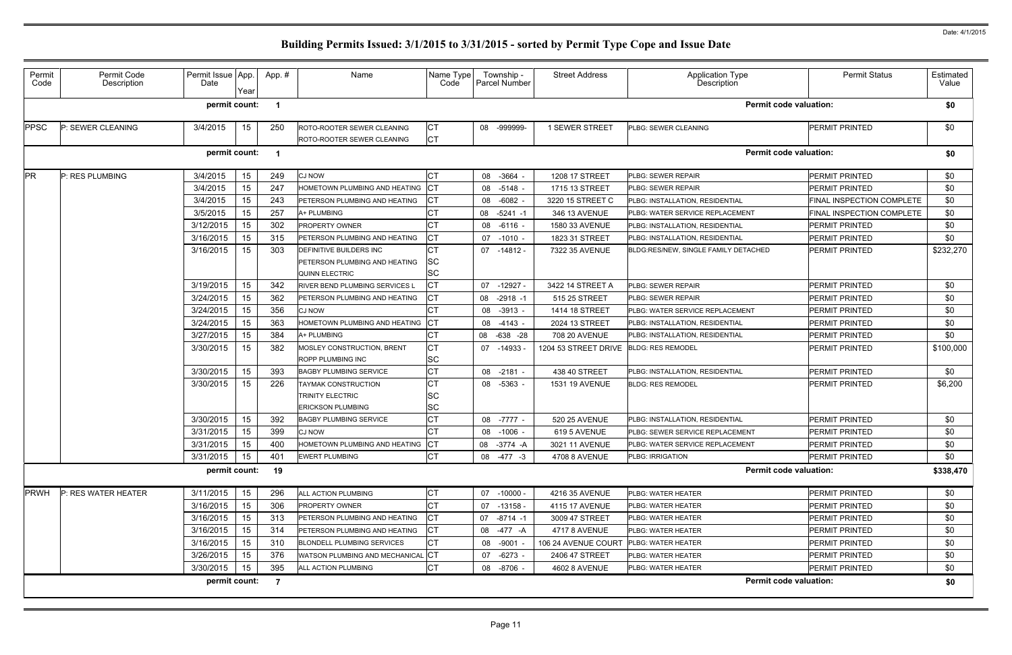| Permit<br>Code | Permit Code<br>Description | Permit Issue App.<br>Date | Year | App.#                   | Name                                                                                     | Name Type<br>Code     | Township -<br><b>Parcel Number</b> | <b>Street Address</b> | Application Type<br>Description        | <b>Permit Status</b>          | Estimated<br>Value |
|----------------|----------------------------|---------------------------|------|-------------------------|------------------------------------------------------------------------------------------|-----------------------|------------------------------------|-----------------------|----------------------------------------|-------------------------------|--------------------|
|                |                            | permit count:             |      |                         |                                                                                          |                       |                                    |                       |                                        | <b>Permit code valuation:</b> | \$0                |
| <b>PPSC</b>    | P: SEWER CLEANING          | 3/4/2015                  | 15   | 250                     | ROTO-ROOTER SEWER CLEANING<br>ROTO-ROOTER SEWER CLEANING                                 | СT<br>СT              | 08 -999999-                        | 1 SEWER STREET        | <b>PLBG: SEWER CLEANING</b>            | <b>PERMIT PRINTED</b>         | \$0                |
|                |                            | permit count:             |      | $\overline{\mathbf{1}}$ |                                                                                          |                       |                                    |                       |                                        | <b>Permit code valuation:</b> | \$0                |
| <b>PR</b>      | P: RES PLUMBING            | 3/4/2015                  | 15   | 249                     | <b>CJ NOW</b>                                                                            | СT                    | 08 -3664 -                         | 1208 17 STREET        | PLBG: SEWER REPAIR                     | <b>PERMIT PRINTED</b>         | \$0                |
|                |                            | 3/4/2015                  | 15   | 247                     | HOMETOWN PLUMBING AND HEATING                                                            | IСТ                   | 08 -5148 -                         | 1715 13 STREET        | <b>PLBG: SEWER REPAIR</b>              | <b>PERMIT PRINTED</b>         | \$0                |
|                |                            | 3/4/2015                  | 15   | 243                     | PETERSON PLUMBING AND HEATING                                                            | СT                    | 08 -6082 -                         | 3220 15 STREET C      | PLBG: INSTALLATION, RESIDENTIAL        | FINAL INSPECTION COMPLETE     | \$0                |
|                |                            | 3/5/2015                  | 15   | 257                     | A+ PLUMBING                                                                              | СT                    | 08 -5241 -1                        | 346 13 AVENUE         | <b>PLBG: WATER SERVICE REPLACEMENT</b> | FINAL INSPECTION COMPLETE     | \$0                |
|                |                            | 3/12/2015                 | 15   | 302                     | <b>PROPERTY OWNER</b>                                                                    | СT                    | 08 -6116 -                         | 1580 33 AVENUE        | PLBG: INSTALLATION, RESIDENTIAL        | <b>PERMIT PRINTED</b>         | \$0                |
|                |                            | 3/16/2015                 | 15   | 315                     | PETERSON PLUMBING AND HEATING                                                            | СT                    | 07 -1010 -                         | 1823 31 STREET        | PLBG: INSTALLATION, RESIDENTIAL        | <b>PERMIT PRINTED</b>         | \$0                |
|                |                            | 3/16/2015                 | 15   | 303                     | <b>DEFINITIVE BUILDERS INC</b><br>PETERSON PLUMBING AND HEATING<br><b>QUINN ELECTRIC</b> | CТ<br><b>SC</b><br>SC | 07 -14812 -                        | 7322 35 AVENUE        | BLDG:RES/NEW, SINGLE FAMILY DETACHED   | <b>PERMIT PRINTED</b>         | \$232,270          |
|                |                            | 3/19/2015                 | 15   | 342                     | RIVER BEND PLUMBING SERVICES L                                                           | <b>CT</b>             | 07 -12927 -                        | 3422 14 STREET A      | PLBG: SEWER REPAIR                     | <b>PERMIT PRINTED</b>         | \$0                |
|                |                            | 3/24/2015                 | 15   | 362                     | PETERSON PLUMBING AND HEATING                                                            | СT                    | 08 -2918 -1                        | 515 25 STREET         | <b>PLBG: SEWER REPAIR</b>              | PERMIT PRINTED                | \$0                |
|                |                            | 3/24/2015                 | 15   | 356                     | <b>CJ NOW</b>                                                                            | СT                    | $-3913 -$<br>08                    | 1414 18 STREET        | PLBG: WATER SERVICE REPLACEMENT        | PERMIT PRINTED                | \$0                |
|                |                            | 3/24/2015                 | 15   | 363                     | HOMETOWN PLUMBING AND HEATING                                                            | <b>CT</b>             | 08 -4143 -                         | 2024 13 STREET        | PLBG: INSTALLATION, RESIDENTIAL        | <b>PERMIT PRINTED</b>         | \$0                |
|                |                            | 3/27/2015                 | 15   | 384                     | A+ PLUMBING                                                                              | СT                    | 08 -638 -28                        | 708 20 AVENUE         | PLBG: INSTALLATION, RESIDENTIAL        | <b>PERMIT PRINTED</b>         | \$0                |
|                |                            | 3/30/2015                 | 15   | 382                     | MOSLEY CONSTRUCTION, BRENT<br><b>ROPP PLUMBING INC</b>                                   | СT<br>SC              | 07 -14933                          | 1204 53 STREET DRIVE  | <b>BLDG: RES REMODEL</b>               | <b>PERMIT PRINTED</b>         | \$100,000          |
|                |                            | 3/30/2015                 | 15   | 393                     | <b>BAGBY PLUMBING SERVICE</b>                                                            | СT                    | 08 -2181 -                         | 438 40 STREET         | PLBG: INSTALLATION, RESIDENTIAL        | <b>PERMIT PRINTED</b>         | \$0                |
|                |                            | 3/30/2015                 | 15   | 226                     | <b>TAYMAK CONSTRUCTION</b><br>TRINITY ELECTRIC<br><b>ERICKSON PLUMBING</b>               | СT<br>SC<br>SC        | 08 -5363 -                         | <b>1531 19 AVENUE</b> | <b>BLDG: RES REMODEL</b>               | <b>PERMIT PRINTED</b>         | \$6,200            |
|                |                            | 3/30/2015                 | 15   | 392                     | <b>BAGBY PLUMBING SERVICE</b>                                                            | СT                    | 08<br>-7777 -                      | 520 25 AVENUE         | PLBG: INSTALLATION, RESIDENTIAL        | PERMIT PRINTED                | \$0                |
|                |                            | 3/31/2015                 | 15   | 399                     | <b>CJ NOW</b>                                                                            | <b>CT</b>             | 08 -1006                           | 619 5 AVENUE          | <b>PLBG: SEWER SERVICE REPLACEMENT</b> | <b>PERMIT PRINTED</b>         | \$0                |
|                |                            | 3/31/2015                 | 15   | 400                     | HOMETOWN PLUMBING AND HEATING                                                            | IСТ                   | 08 - 3774 - A                      | 3021 11 AVENUE        | PLBG: WATER SERVICE REPLACEMENT        | PERMIT PRINTED                | \$0                |
|                |                            | 3/31/2015                 | 15   | 401                     | <b>EWERT PLUMBING</b>                                                                    | <b>CT</b>             | 08 -477 -3                         | 4708 8 AVENUE         | PLBG: IRRIGATION                       | <b>PERMIT PRINTED</b>         | \$0                |
|                |                            | permit count:             |      | 19                      |                                                                                          |                       |                                    |                       |                                        | <b>Permit code valuation:</b> | \$338,470          |
| <b>PRWH</b>    | P: RES WATER HEATER        | 3/11/2015                 | 15   | 296                     | ALL ACTION PLUMBING                                                                      | СT                    | 07 -10000 -                        | 4216 35 AVENUE        | PLBG: WATER HEATER                     | <b>PERMIT PRINTED</b>         | \$0                |
|                |                            | 3/16/2015                 | 15   | 306                     | PROPERTY OWNER                                                                           | СT                    | 07 -13158 -                        | 4115 17 AVENUE        | <b>PLBG: WATER HEATER</b>              | PERMIT PRINTED                | \$0                |
|                |                            | 3/16/2015                 | 15   | 313                     | PETERSON PLUMBING AND HEATING                                                            | СT                    | 07 -8714 -1                        | 3009 47 STREET        | <b>PLBG: WATER HEATER</b>              | <b>PERMIT PRINTED</b>         | \$0                |
|                |                            | 3/16/2015                 | 15   | 314                     | PETERSON PLUMBING AND HEATING                                                            | СT                    | 08 -477 -A                         | 4717 8 AVENUE         | <b>PLBG: WATER HEATER</b>              | <b>PERMIT PRINTED</b>         | \$0                |
|                |                            | 3/16/2015                 | 15   | 310                     | <b>BLONDELL PLUMBING SERVICES</b>                                                        | СT                    | 08 -9001                           | 106 24 AVENUE COURT   | PLBG: WATER HEATER                     | PERMIT PRINTED                | \$0                |
|                |                            | 3/26/2015                 | 15   | 376                     | WATSON PLUMBING AND MECHANICAL                                                           | <b>CT</b>             | 07 -6273 -                         | 2406 47 STREET        | PLBG: WATER HEATER                     | PERMIT PRINTED                | \$0                |
|                |                            | 3/30/2015                 | 15   | 395                     | ALL ACTION PLUMBING                                                                      | <b>CT</b>             | 08 -8706 -                         | <b>4602 8 AVENUE</b>  | PLBG: WATER HEATER                     | PERMIT PRINTED                | \$0                |
|                |                            | permit count:             |      | $\overline{7}$          |                                                                                          |                       |                                    |                       |                                        | <b>Permit code valuation:</b> | \$0                |